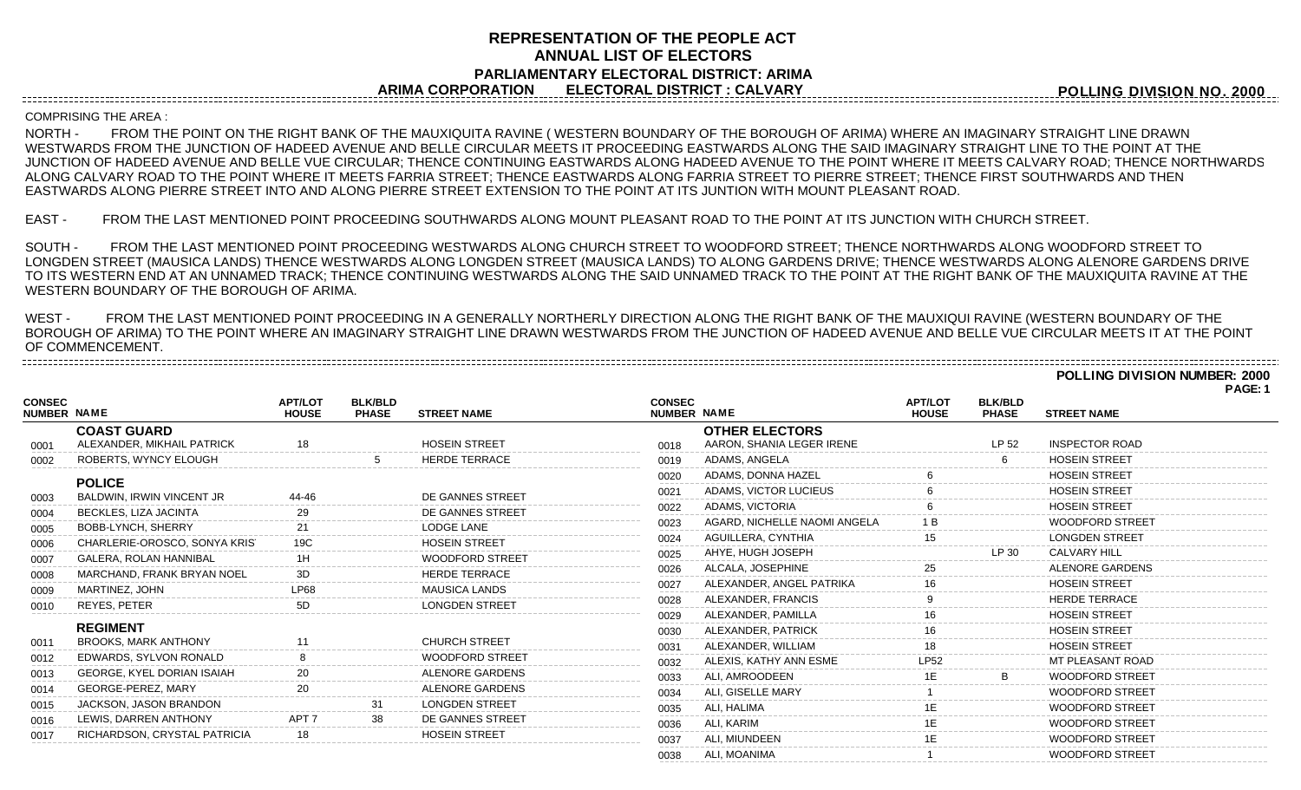## **REPRESENTATION OF THE PEOPLE ACT ANNUAL LIST OF ELECTORS PARLIAMENTARY ELECTORAL DISTRICT: ARIMA ARIMA CORPORATION ELECTORAL DISTRICT : CALVARY**

**POLLING DIVISION NO. 2000**

**POLLING DIVISION NUMBER: 2000**

## COMPRISING THE AREA :

-----------------------------------

NORTH - FROM THE POINT ON THE RIGHT BANK OF THE MAUXIQUITA RAVINE ( WESTERN BOUNDARY OF THE BOROUGH OF ARIMA) WHERE AN IMAGINARY STRAIGHT LINE DRAWN WESTWARDS FROM THE JUNCTION OF HADEED AVENUE AND BELLE CIRCULAR MEETS IT PROCEEDING EASTWARDS ALONG THE SAID IMAGINARY STRAIGHT LINE TO THE POINT AT THE JUNCTION OF HADEED AVENUE AND BELLE VUE CIRCULAR; THENCE CONTINUING EASTWARDS ALONG HADEED AVENUE TO THE POINT WHERE IT MEETS CALVARY ROAD; THENCE NORTHWARDS ALONG CALVARY ROAD TO THE POINT WHERE IT MEETS FARRIA STREET; THENCE EASTWARDS ALONG FARRIA STREET TO PIERRE STREET; THENCE FIRST SOUTHWARDS AND THEN EASTWARDS ALONG PIERRE STREET INTO AND ALONG PIERRE STREET EXTENSION TO THE POINT AT ITS JUNTION WITH MOUNT PLEASANT ROAD.

EAST - FROM THE LAST MENTIONED POINT PROCEEDING SOUTHWARDS ALONG MOUNT PLEASANT ROAD TO THE POINT AT ITS JUNCTION WITH CHURCH STREET.

SOUTH - FROM THE LAST MENTIONED POINT PROCEEDING WESTWARDS ALONG CHURCH STREET TO WOODFORD STREET; THENCE NORTHWARDS ALONG WOODFORD STREET TO LONGDEN STREET (MAUSICA LANDS) THENCE WESTWARDS ALONG LONGDEN STREET (MAUSICA LANDS) TO ALONG GARDENS DRIVE; THENCE WESTWARDS ALONG ALENORE GARDENS DRIVE TO ITS WESTERN END AT AN UNNAMED TRACK; THENCE CONTINUING WESTWARDS ALONG THE SAID UNNAMED TRACK TO THE POINT AT THE RIGHT BANK OF THE MAUXIQUITA RAVINE AT THE WESTERN BOUNDARY OF THE BOROUGH OF ARIMA.

WEST - FROM THE LAST MENTIONED POINT PROCEEDING IN A GENERALLY NORTHERLY DIRECTION ALONG THE RIGHT BANK OF THE MAUXIQUI RAVINE (WESTERN BOUNDARY OF THE BOROUGH OF ARIMA) TO THE POINT WHERE AN IMAGINARY STRAIGHT LINE DRAWN WESTWARDS FROM THE JUNCTION OF HADEED AVENUE AND BELLE VUE CIRCULAR MEETS IT AT THE POINT OF COMMENCEMENT. 

|                                     |                               |                                |                                |                        |                                     |                              |                                |                                |                         | PAGE: 1 |
|-------------------------------------|-------------------------------|--------------------------------|--------------------------------|------------------------|-------------------------------------|------------------------------|--------------------------------|--------------------------------|-------------------------|---------|
| <b>CONSEC</b><br><b>NUMBER NAME</b> |                               | <b>APT/LOT</b><br><b>HOUSE</b> | <b>BLK/BLD</b><br><b>PHASE</b> | <b>STREET NAME</b>     | <b>CONSEC</b><br><b>NUMBER NAME</b> |                              | <b>APT/LOT</b><br><b>HOUSE</b> | <b>BLK/BLD</b><br><b>PHASE</b> | <b>STREET NAME</b>      |         |
|                                     | <b>COAST GUARD</b>            |                                |                                |                        |                                     | <b>OTHER ELECTORS</b>        |                                |                                |                         |         |
| 0001                                | ALEXANDER, MIKHAIL PATRICK    |                                |                                | <b>HOSFIN STREET</b>   | 0018                                | AARON, SHANIA LEGER IRENE    |                                | LP 52                          | <b>INSPECTOR ROAD</b>   |         |
| 0002                                | ROBERTS, WYNCY ELOUGH         |                                |                                | <b>HERDE TERRACE</b>   | 0019                                | ADAMS, ANGELA                |                                |                                | <b>HOSEIN STREET</b>    |         |
|                                     | <b>POLICE</b>                 |                                |                                |                        | 0020                                | ADAMS, DONNA HAZEL           |                                |                                | <b>HOSEIN STREET</b>    |         |
| 0003                                | BALDWIN, IRWIN VINCENT JR     | 44-46                          |                                | DE GANNES STREET       | 0021                                | ADAMS, VICTOR LUCIEUS        |                                |                                | <b>HOSEIN STREET</b>    |         |
| 0004                                | BECKLES, LIZA JACINTA         |                                |                                | DE GANNES STREET       | 0022                                | ADAMS, VICTORIA              |                                |                                | <b>HOSEIN STREET</b>    |         |
| 0005                                | BOBB-LYNCH, SHERRY            |                                |                                | <b>LODGE LANE</b>      | 0023                                | AGARD, NICHELLE NAOMI ANGELA |                                |                                | <b>WOODFORD STREET</b>  |         |
| 0006                                | CHARLERIE-OROSCO, SONYA KRIS  |                                |                                | <b>HOSEIN STREET</b>   | 0024                                | AGUILLERA, CYNTHIA           |                                |                                | <b>LONGDEN STREET</b>   |         |
| 0007                                | <b>GALERA, ROLAN HANNIBAL</b> |                                |                                | <b>WOODFORD STREET</b> | 0025                                | AHYE. HUGH JOSEPH            |                                | LP 30                          | <b>CALVARY HILL</b>     |         |
| 0008                                | MARCHAND, FRANK BRYAN NOEL    | 3D                             |                                | <b>HERDE TERRACE</b>   | 0026                                | ALCALA, JOSEPHINE            |                                |                                | <b>ALENORE GARDENS</b>  |         |
| 0009                                | MARTINEZ, JOHN                |                                |                                | <b>MAUSICA LANDS</b>   | 0027                                | ALEXANDER, ANGEL PATRIKA     | 16                             |                                | <b>HOSEIN STREET</b>    |         |
| 0010                                | <b>REYES, PETER</b>           | 5D                             |                                | <b>LONGDEN STREET</b>  | 0028                                | ALEXANDER, FRANCIS           |                                |                                | <b>HERDE TERRACE</b>    |         |
|                                     |                               |                                |                                |                        | 0029                                | ALEXANDER, PAMILLA           |                                |                                | <b>HOSEIN STREET</b>    |         |
|                                     | <b>REGIMENT</b>               |                                |                                |                        | 0030                                | ALEXANDER, PATRICK           |                                |                                | <b>HOSEIN STREET</b>    |         |
| 0011                                | <b>BROOKS, MARK ANTHONY</b>   |                                |                                | <b>CHURCH STREET</b>   | 0031                                | ALEXANDER, WILLIAM           |                                |                                | <b>HOSEIN STREET</b>    |         |
| 0012                                | EDWARDS, SYLVON RONALD        |                                |                                | <b>WOODFORD STREET</b> | 0032                                | ALEXIS, KATHY ANN ESME       |                                |                                | <b>MT PLEASANT ROAD</b> |         |
| 0013                                | GEORGE, KYEL DORIAN ISAIAH    |                                |                                | <b>ALENORE GARDENS</b> | 0033                                | ALI. AMROODEEN               |                                |                                | <b>WOODFORD STREET</b>  |         |
| 0014                                | GEORGE-PEREZ, MARY            |                                |                                | <b>ALENORE GARDENS</b> | 0034                                | ALI, GISELLE MARY            |                                |                                | <b>WOODFORD STREET</b>  |         |
| 0015                                | JACKSON, JASON BRANDON        |                                |                                | <b>LONGDEN STREET</b>  | 0035                                | ALI, HALIMA                  |                                |                                | <b>WOODFORD STREET</b>  |         |
| 0016                                | LEWIS, DARREN ANTHONY         |                                |                                | DE GANNES STREET       | 0036                                | ALI, KARIM                   |                                |                                | <b>WOODFORD STREET</b>  |         |
| 0017                                | RICHARDSON, CRYSTAL PATRICIA  |                                |                                | <b>HOSEIN STREET</b>   | 0037                                | ALI. MIUNDEEN                |                                |                                | <b>WOODFORD STREET</b>  |         |
|                                     |                               |                                |                                |                        | 0038                                | ALI. MOANIMA                 |                                |                                | <b>WOODFORD STREET</b>  |         |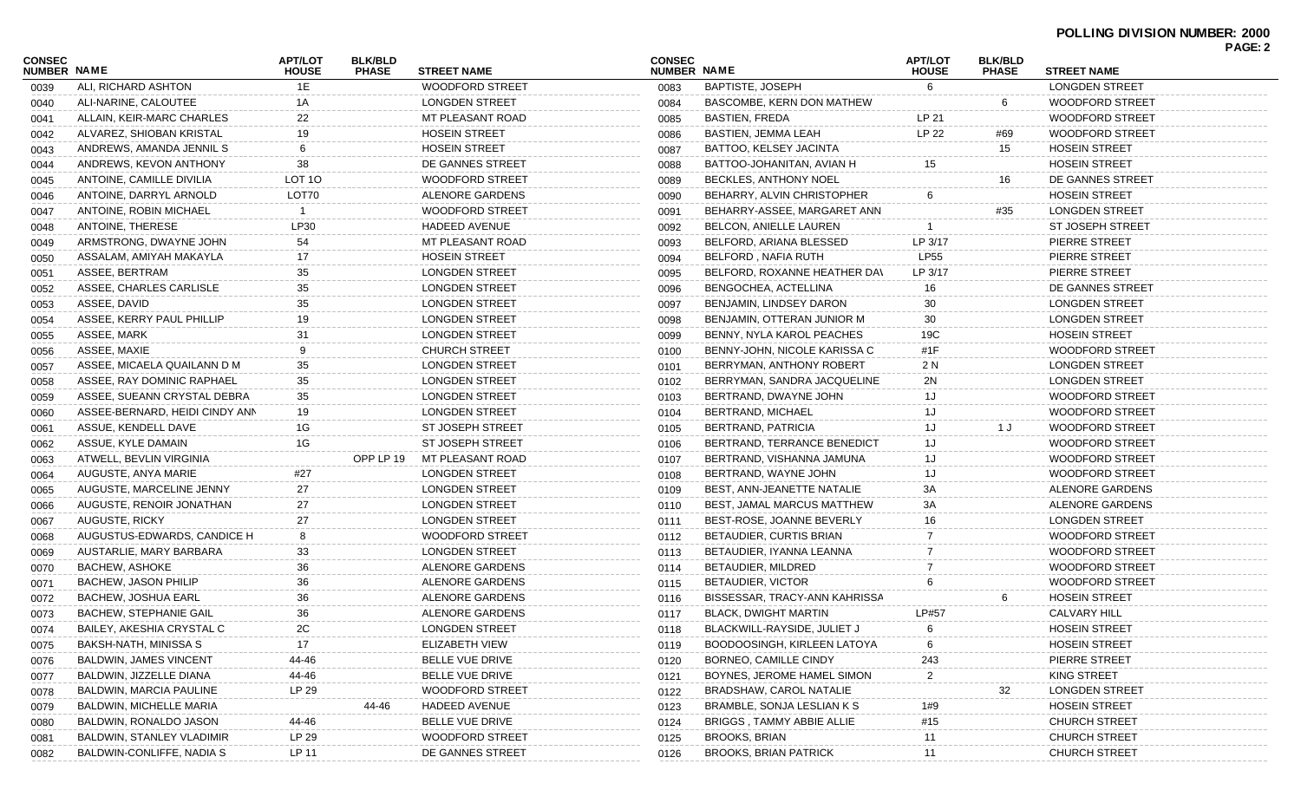| <b>CONSEC</b><br><b>NUMBER NAME</b> |                                  | <b>APT/LOT</b><br><b>HOUSE</b> | <b>BLK/BLD</b><br><b>PHASE</b> | <b>STREET NAME</b>                              | <b>CONSEC</b><br>NUMBER NAME |                                  | <b>APT/LOT</b><br><b>HOUSE</b> | <b>BLK/BLD</b><br><b>PHASE</b> | <b>STREET NAME</b>     | PAGE: 2 |
|-------------------------------------|----------------------------------|--------------------------------|--------------------------------|-------------------------------------------------|------------------------------|----------------------------------|--------------------------------|--------------------------------|------------------------|---------|
| 0039                                | ALI, RICHARD ASHTON              | 1E                             |                                | <b>WOODFORD STREET</b>                          | 0083                         | <b>BAPTISTE, JOSEPH</b>          | 6                              |                                | <b>LONGDEN STREET</b>  |         |
| 0040                                | ALI-NARINE, CALOUTEE             | 1A                             |                                | <b>LONGDEN STREET</b>                           | 0084                         | <b>BASCOMBE, KERN DON MATHEW</b> |                                | 6                              | WOODFORD STREET        |         |
| 0041                                | ALLAIN, KEIR-MARC CHARLES        | 22                             |                                | MT PLEASANT ROAD                                | 0085                         | <b>BASTIEN, FREDA</b>            | LP 21                          |                                | <b>WOODFORD STREET</b> |         |
| 0042                                | ALVAREZ, SHIOBAN KRISTAL         | 19                             |                                | <b>HOSEIN STREET</b>                            | 0086                         | BASTIEN, JEMMA LEAH              | LP 22                          | #69                            | <b>WOODFORD STREET</b> |         |
| 0043                                | ANDREWS, AMANDA JENNIL S         | 6                              |                                | <b>HOSEIN STREET</b>                            | 0087                         | BATTOO, KELSEY JACINTA           |                                | 15                             | <b>HOSEIN STREET</b>   |         |
| 0044                                | ANDREWS, KEVON ANTHONY           | 38                             |                                | DE GANNES STREET                                | 0088                         | BATTOO-JOHANITAN, AVIAN H        | 15                             |                                | <b>HOSEIN STREET</b>   |         |
| 0045                                | ANTOINE, CAMILLE DIVILIA         | LOT <sub>10</sub>              |                                | <b>WOODFORD STREET</b>                          | 0089                         | BECKLES, ANTHONY NOEL            |                                | 16                             | DE GANNES STREET       |         |
| 0046                                | ANTOINE, DARRYL ARNOLD           | LOT70                          |                                | ALENORE GARDENS                                 | 0090                         | BEHARRY, ALVIN CHRISTOPHER       | 6                              |                                | <b>HOSEIN STREET</b>   |         |
| 0047                                | ANTOINE, ROBIN MICHAEL           | -1                             |                                | <b>WOODFORD STREET</b>                          | 0091                         | BEHARRY-ASSEE, MARGARET ANN      |                                | #35                            | <b>LONGDEN STREET</b>  |         |
| 0048                                | ANTOINE, THERESE                 | LP30                           |                                | <b>HADEED AVENUE</b>                            | 0092                         | BELCON, ANIELLE LAUREN           |                                |                                | ST JOSEPH STREET       |         |
| 0049                                | ARMSTRONG, DWAYNE JOHN           | 54                             |                                | MT PLEASANT ROAD                                | 0093                         | BELFORD, ARIANA BLESSED          | LP 3/17                        |                                | PIERRE STREET          |         |
| 0050                                | ASSALAM, AMIYAH MAKAYLA          | 17                             |                                | <b>HOSEIN STREET</b>                            | 0094                         | <b>BELFORD, NAFIA RUTH</b>       | <b>LP55</b>                    |                                | PIERRE STREET          |         |
| 0051                                | ASSEE, BERTRAM                   | 35                             |                                | <b>LONGDEN STREET</b>                           | 0095                         | BELFORD, ROXANNE HEATHER DAV     | LP 3/17                        |                                | PIERRE STREET          |         |
| 0052                                | ASSEE, CHARLES CARLISLE          | 35                             |                                | <b>LONGDEN STREET</b>                           | 0096                         | BENGOCHEA, ACTELLINA             | 16                             |                                | DE GANNES STREET       |         |
| 0053                                | ASSEE, DAVID                     | 35                             |                                | <b>LONGDEN STREET</b>                           | 0097                         | BENJAMIN, LINDSEY DARON          | 30                             |                                | <b>LONGDEN STREET</b>  |         |
| 0054                                | ASSEE, KERRY PAUL PHILLIP        | 19                             |                                | <b>LONGDEN STREET</b>                           | 0098                         | BENJAMIN, OTTERAN JUNIOR M       | 30                             |                                | <b>LONGDEN STREET</b>  |         |
| 0055                                | ASSEE, MARK                      | 31                             |                                | <b>LONGDEN STREET</b>                           | 0099                         | BENNY, NYLA KAROL PEACHES        | 19C                            |                                | <b>HOSEIN STREET</b>   |         |
| 0056                                | ASSEE, MAXIE                     | 9                              |                                | <b>CHURCH STREET</b>                            | 0100                         | BENNY-JOHN, NICOLE KARISSA C     | #1F                            |                                | WOODFORD STREET        |         |
| 0057                                | ASSEE, MICAELA QUAILANN D M      | 35                             |                                | <b>LONGDEN STREET</b>                           | 0101                         | BERRYMAN, ANTHONY ROBERT         | 2 N                            |                                | <b>LONGDEN STREET</b>  |         |
| 0058                                | ASSEE, RAY DOMINIC RAPHAEL       | 35                             |                                | <b>LONGDEN STREET</b>                           | 0102                         | BERRYMAN, SANDRA JACQUELINE      | 2N                             |                                | <b>LONGDEN STREET</b>  |         |
| 0059                                | ASSEE, SUEANN CRYSTAL DEBRA      | 35                             |                                | <b>LONGDEN STREET</b>                           | 0103                         | BERTRAND, DWAYNE JOHN            |                                |                                | <b>WOODFORD STREET</b> |         |
| 0060                                | ASSEE-BERNARD, HEIDI CINDY ANN   | 19                             |                                | <b>LONGDEN STREET</b>                           | 0104                         | <b>BERTRAND, MICHAEL</b>         | 1J                             |                                | WOODFORD STREET        |         |
| 0061                                | ASSUE, KENDELL DAVE              | 1G                             |                                | <b>ST JOSEPH STREET</b>                         | 0105                         | BERTRAND, PATRICIA               | 1J                             | 1 J                            | WOODFORD STREET        |         |
|                                     | ASSUE, KYLE DAMAIN               | 1G                             |                                | <b>ST JOSEPH STREET</b>                         | 0106                         | BERTRAND, TERRANCE BENEDICT      | 1J.                            |                                | WOODFORD STREET        |         |
| 0062                                | ATWELL, BEVLIN VIRGINIA          |                                | OPP LP 19                      | MT PLEASANT ROAD                                | 0107                         | BERTRAND, VISHANNA JAMUNA        |                                |                                | WOODFORD STREET        |         |
| 0063                                | AUGUSTE, ANYA MARIE              |                                |                                | <b>LONGDEN STREET</b>                           |                              | BERTRAND, WAYNE JOHN             | 1J                             |                                | WOODFORD STREET        |         |
| 0064                                | AUGUSTE, MARCELINE JENNY         | #27<br>27                      |                                | <b>LONGDEN STREET</b>                           | 0108                         | BEST, ANN-JEANETTE NATALIE       | 3A                             |                                | ALENORE GARDENS        |         |
| 0065                                |                                  | 27                             |                                | <b>LONGDEN STREET</b>                           | 0109                         |                                  | ЗΑ                             |                                | ALENORE GARDENS        |         |
| 0066                                | AUGUSTE, RENOIR JONATHAN         |                                |                                | <b>LONGDEN STREET</b>                           | 0110                         | BEST, JAMAL MARCUS MATTHEW       |                                |                                |                        |         |
| 0067                                | AUGUSTE, RICKY                   | 27<br>8                        |                                |                                                 | 0111                         | BEST-ROSE, JOANNE BEVERLY        |                                |                                | <b>LONGDEN STREET</b>  |         |
| 0068                                | AUGUSTUS-EDWARDS, CANDICE H      |                                |                                | <b>WOODFORD STREET</b><br><b>LONGDEN STREET</b> | 0112                         | BETAUDIER, CURTIS BRIAN          |                                |                                | WOODFORD STREET        |         |
| 0069                                | AUSTARLIE, MARY BARBARA          | 33                             |                                | ALENORE GARDENS                                 | 0113                         | BETAUDIER, IYANNA LEANNA         |                                |                                | WOODFORD STREET        |         |
| 0070                                | <b>BACHEW, ASHOKE</b>            | 36                             |                                |                                                 | 0114                         | BETAUDIER, MILDRED               |                                |                                | WOODFORD STREET        |         |
| 0071                                | BACHEW, JASON PHILIP             | 36                             |                                | ALENORE GARDENS                                 | 0115                         | <b>BETAUDIER, VICTOR</b>         | 6                              |                                | WOODFORD STREET        |         |
| 0072                                | BACHEW, JOSHUA EARL              | 36                             |                                | ALENORE GARDENS                                 | 0116                         | BISSESSAR, TRACY-ANN KAHRISSA    |                                |                                | <b>HOSEIN STREET</b>   |         |
| 0073                                | <b>BACHEW, STEPHANIE GAIL</b>    | 36                             |                                | ALENORE GARDENS                                 | 0117                         | <b>BLACK, DWIGHT MARTIN</b>      | LP#57                          |                                | <b>CALVARY HILL</b>    |         |
| 0074                                | BAILEY, AKESHIA CRYSTAL C        | 2C                             |                                | LONGDEN STREET                                  | 0118                         | BLACKWILL-RAYSIDE, JULIET J      | 6                              |                                | <b>HOSEIN STREET</b>   |         |
| 0075                                | BAKSH-NATH, MINISSA S            | 17                             |                                | ELIZABETH VIEW                                  | 0119                         | BOODOOSINGH, KIRLEEN LATOYA      |                                |                                | <b>HOSEIN STREET</b>   |         |
| 0076                                | <b>BALDWIN, JAMES VINCENT</b>    | 44-46                          |                                | BELLE VUE DRIVE                                 | 0120                         | BORNEO, CAMILLE CINDY            | 243                            |                                | PIERRE STREET          |         |
| 0077                                | BALDWIN, JIZZELLE DIANA          | 44-46                          |                                | BELLE VUE DRIVE                                 | 0121                         | BOYNES, JEROME HAMEL SIMON       | 2                              |                                | KING STREET            |         |
| 0078                                | BALDWIN, MARCIA PAULINE          | LP 29                          |                                | <b>WOODFORD STREET</b>                          | 0122                         | BRADSHAW, CAROL NATALIE          |                                | 32                             | <b>LONGDEN STREET</b>  |         |
| 0079                                | <b>BALDWIN, MICHELLE MARIA</b>   |                                | 44-46                          | <b>HADEED AVENUE</b>                            | 0123                         | BRAMBLE, SONJA LESLIAN K S       | 1#9                            |                                | <b>HOSEIN STREET</b>   |         |
| 0080                                | BALDWIN, RONALDO JASON           | 44-46                          |                                | BELLE VUE DRIVE                                 | 0124                         | BRIGGS, TAMMY ABBIE ALLIE        | #15                            |                                | <b>CHURCH STREET</b>   |         |
| 0081                                | <b>BALDWIN, STANLEY VLADIMIR</b> | LP 29                          |                                | <b>WOODFORD STREET</b>                          | 0125                         | BROOKS, BRIAN                    | 11                             |                                | <b>CHURCH STREET</b>   |         |
| 0082                                | BALDWIN-CONLIFFE, NADIA S        | LP 11                          |                                | DE GANNES STREET                                | 0126                         | <b>BROOKS, BRIAN PATRICK</b>     | 11                             |                                | <b>CHURCH STREET</b>   |         |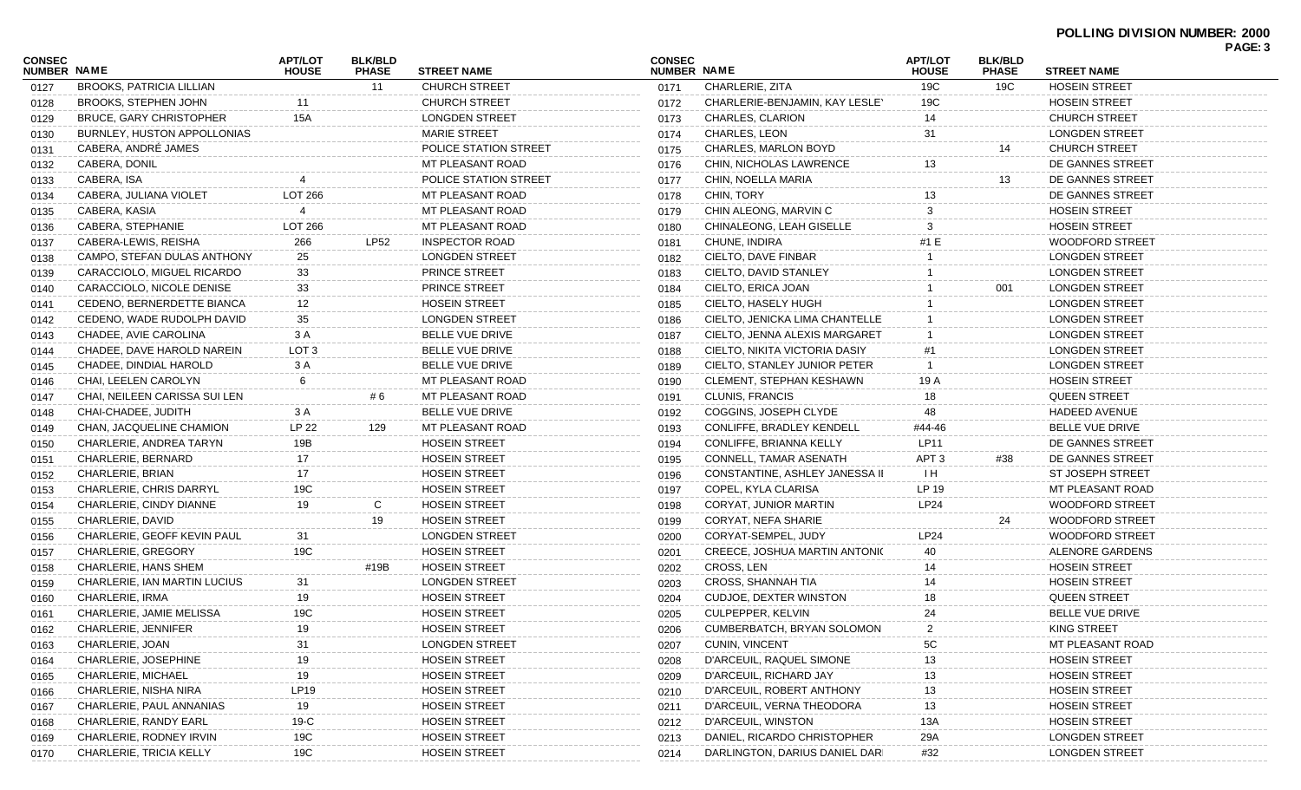| <b>CONSEC</b> |                                 | <b>APT/LOT</b>   | <b>BLK/BLD</b> |                              | <b>CONSEC</b> |                                      | APT/LOT          | <b>BLK/BLD</b> |                         | PAGE: 3 |
|---------------|---------------------------------|------------------|----------------|------------------------------|---------------|--------------------------------------|------------------|----------------|-------------------------|---------|
| NUMBER NAME   |                                 | <b>HOUSE</b>     | <b>PHASE</b>   | <b>STREET NAME</b>           | NUMBER NAME   |                                      | <b>HOUSE</b>     | <b>PHASE</b>   | <b>STREET NAME</b>      |         |
| 0127          | <b>BROOKS, PATRICIA LILLIAN</b> |                  | 11             | <b>CHURCH STREET</b>         | 0171          | CHARLERIE, ZITA                      | 19C              | 19C            | <b>HOSEIN STREET</b>    |         |
| 0128          | <b>BROOKS, STEPHEN JOHN</b>     | 11               |                | <b>CHURCH STREET</b>         | 0172          | CHARLERIE-BENJAMIN, KAY LESLEY       | 19C              |                | <b>HOSEIN STREET</b>    |         |
| 0129          | BRUCE, GARY CHRISTOPHER         | <b>15A</b>       |                | <b>LONGDEN STREET</b>        | 0173          | CHARLES, CLARION                     | 14               |                | <b>CHURCH STREET</b>    |         |
| 0130          | BURNLEY, HUSTON APPOLLONIAS     |                  |                | <b>MARIE STREET</b>          | 0174          | CHARLES, LEON                        | 31               |                | <b>LONGDEN STREET</b>   |         |
| 0131          | CABERA, ANDRÉ JAMES             |                  |                | POLICE STATION STREET        | 0175          | <b>CHARLES, MARLON BOYD</b>          |                  | 14             | <b>CHURCH STREET</b>    |         |
| 0132          | CABERA, DONIL                   |                  |                | MT PLEASANT ROAD             | 0176          | CHIN, NICHOLAS LAWRENCE              | 13               |                | DE GANNES STREET        |         |
| 0133          | CABERA, ISA                     |                  |                | <b>POLICE STATION STREET</b> | 0177          | CHIN, NOELLA MARIA                   |                  | 13             | DE GANNES STREET        |         |
| 0134          | CABERA, JULIANA VIOLET          | <b>LOT 266</b>   |                | MT PLEASANT ROAD             | 0178          | CHIN, TORY                           | 13               |                | DE GANNES STREET        |         |
| 0135          | CABERA, KASIA                   |                  |                | MT PLEASANT ROAD             | 0179          | CHIN ALEONG, MARVIN C                |                  |                | <b>HOSEIN STREET</b>    |         |
| 0136          | CABERA, STEPHANIE               | <b>LOT 266</b>   |                | MT PLEASANT ROAD             | 0180          | CHINALEONG, LEAH GISELLE             | 3                |                | <b>HOSEIN STREET</b>    |         |
| 0137          | CABERA-LEWIS, REISHA            | 266              | <b>LP52</b>    | INSPECTOR ROAD               | 0181          | CHUNE, INDIRA                        | #1 E             |                | <b>WOODFORD STREET</b>  |         |
| 0138          | CAMPO, STEFAN DULAS ANTHONY     | 25               |                | <b>LONGDEN STREET</b>        | 0182          | CIELTO, DAVE FINBAR                  |                  |                | <b>LONGDEN STREET</b>   |         |
| 0139          | CARACCIOLO, MIGUEL RICARDO      | 33               |                | PRINCE STREET                | 0183          | CIELTO, DAVID STANLEY                |                  |                | <b>LONGDEN STREET</b>   |         |
| 0140          | CARACCIOLO, NICOLE DENISE       | 33               |                | PRINCE STREET                | 0184          | CIELTO, ERICA JOAN                   |                  | 001            | <b>LONGDEN STREET</b>   |         |
| 0141          | CEDENO, BERNERDETTE BIANCA      | 12               |                | <b>HOSEIN STREET</b>         | 0185          | CIELTO, HASELY HUGH                  |                  |                | <b>LONGDEN STREET</b>   |         |
| 0142          | CEDENO, WADE RUDOLPH DAVID      | 35               |                | <b>LONGDEN STREET</b>        | 0186          | CIELTO, JENICKA LIMA CHANTELLE       |                  |                | <b>LONGDEN STREET</b>   |         |
| 0143          | CHADEE, AVIE CAROLINA           | 3 A              |                | BELLE VUE DRIVE              | 0187          | CIELTO, JENNA ALEXIS MARGARET        |                  |                | <b>LONGDEN STREET</b>   |         |
| 0144          | CHADEE, DAVE HAROLD NAREIN      | LOT <sub>3</sub> |                | <b>BELLE VUE DRIVE</b>       | 0188          | CIELTO, NIKITA VICTORIA DASIY        | #1               |                | <b>LONGDEN STREET</b>   |         |
| 0145          | CHADEE, DINDIAL HAROLD          | 3 A              |                | <b>BELLE VUE DRIVE</b>       | 0189          | CIELTO, STANLEY JUNIOR PETER         |                  |                | <b>LONGDEN STREET</b>   |         |
| 0146          | CHAI, LEELEN CAROLYN            | 6                |                | MT PLEASANT ROAD             | 0190          | <b>CLEMENT, STEPHAN KESHAWN</b>      | 19 A             |                | <b>HOSEIN STREET</b>    |         |
| 0147          | CHAI, NEILEEN CARISSA SUI LEN   |                  | #6             | MT PLEASANT ROAD             | 0191          | <b>CLUNIS, FRANCIS</b>               | 18               |                | <b>QUEEN STREET</b>     |         |
| 0148          | CHAI-CHADEE, JUDITH             | 3 A              |                | BELLE VUE DRIVE              | 0192          | COGGINS, JOSEPH CLYDE                | 48               |                | <b>HADEED AVENUE</b>    |         |
| 0149          | CHAN, JACQUELINE CHAMION        | LP 22            | 129            | MT PLEASANT ROAD             | 0193          | CONLIFFE, BRADLEY KENDELL            | #44-46           |                | BELLE VUE DRIVE         |         |
| 0150          | CHARLERIE, ANDREA TARYN         | 19B              |                | <b>HOSEIN STREET</b>         | 0194          | CONLIFFE, BRIANNA KELLY              | LP11             |                | DE GANNES STREET        |         |
| 0151          | CHARLERIE, BERNARD              | 17               |                | <b>HOSEIN STREET</b>         | 0195          | CONNELL, TAMAR ASENATH               | APT <sub>3</sub> | #38            | DE GANNES STREET        |         |
| 0152          | CHARLERIE, BRIAN                | 17               |                | <b>HOSEIN STREET</b>         | 0196          | CONSTANTINE, ASHLEY JANESSA II       | $\mathsf{H}$     |                | <b>ST JOSEPH STREET</b> |         |
| 0153          | <b>CHARLERIE, CHRIS DARRYL</b>  | 19C              |                | <b>HOSEIN STREET</b>         | 0197          | COPEL, KYLA CLARISA                  | LP 19            |                | MT PLEASANT ROAD        |         |
| 0154          | CHARLERIE, CINDY DIANNE         | 19               | C              | <b>HOSEIN STREET</b>         | 0198          | CORYAT, JUNIOR MARTIN                | <b>LP24</b>      |                | <b>WOODFORD STREET</b>  |         |
| 0155          | CHARLERIE, DAVID                |                  | 19             | <b>HOSEIN STREET</b>         | 0199          | CORYAT, NEFA SHARIE                  |                  | 24             | <b>WOODFORD STREET</b>  |         |
| 0156          | CHARLERIE, GEOFF KEVIN PAUL     | 31               |                | <b>LONGDEN STREET</b>        | 0200          | CORYAT-SEMPEL, JUDY                  | LP24             |                | <b>WOODFORD STREET</b>  |         |
| 0157          | <b>CHARLERIE, GREGORY</b>       | 19C              |                | <b>HOSEIN STREET</b>         | 0201          | <b>CREECE, JOSHUA MARTIN ANTONIC</b> | 40               |                | ALENORE GARDENS         |         |
| 0158          | CHARLERIE, HANS SHEM            |                  | #19B           | <b>HOSEIN STREET</b>         | 0202          | CROSS, LEN                           | 14               |                | <b>HOSEIN STREET</b>    |         |
| 0159          | CHARLERIE, IAN MARTIN LUCIUS    | 31               |                | <b>LONGDEN STREET</b>        | 0203          | <b>CROSS, SHANNAH TIA</b>            | 14               |                | <b>HOSEIN STREET</b>    |         |
| 0160          | CHARLERIE, IRMA                 | 19               |                | <b>HOSEIN STREET</b>         | 0204          | <b>CUDJOE, DEXTER WINSTON</b>        | 18               |                | <b>QUEEN STREET</b>     |         |
| 0161          | CHARLERIE, JAMIE MELISSA        | 19C              |                | <b>HOSEIN STREET</b>         | 0205          | CULPEPPER, KELVIN                    | 24               |                | BELLE VUE DRIVE         |         |
| 0162          | CHARLERIE, JENNIFER             | 19               |                | <b>HOSEIN STREET</b>         | 0206          | CUMBERBATCH, BRYAN SOLOMON           | $\overline{2}$   |                | KING STREET             |         |
| 0163          | CHARLERIE, JOAN                 | 31               |                | <b>LONGDEN STREET</b>        | 0207          | <b>CUNIN, VINCENT</b>                | 5C               |                | MT PLEASANT ROAD        |         |
| 0164          | CHARLERIE, JOSEPHINE            | 19               |                | <b>HOSEIN STREET</b>         | 0208          | D'ARCEUIL, RAQUEL SIMONE             | 13               |                | <b>HOSEIN STREET</b>    |         |
| 0165          | CHARLERIE, MICHAEL              | 19               |                | <b>HOSEIN STREET</b>         | 0209          | D'ARCEUIL, RICHARD JAY               | 13               |                | <b>HOSEIN STREET</b>    |         |
| 0166          | CHARLERIE, NISHA NIRA           | LP19             |                | <b>HOSEIN STREET</b>         | 0210          | D'ARCEUIL, ROBERT ANTHONY            | 13               |                | <b>HOSEIN STREET</b>    |         |
| 0167          | CHARLERIE, PAUL ANNANIAS        | 19               |                | <b>HOSEIN STREET</b>         | 0211          | D'ARCEUIL, VERNA THEODORA            | 13               |                | <b>HOSEIN STREET</b>    |         |
| 0168          | CHARLERIE, RANDY EARL           | $19-C$           |                | <b>HOSEIN STREET</b>         | 0212          | D'ARCEUIL, WINSTON                   | 13A              |                | <b>HOSEIN STREET</b>    |         |
| 0169          | CHARLERIE, RODNEY IRVIN         | 19C              |                | <b>HOSEIN STREET</b>         | 0213          | DANIEL, RICARDO CHRISTOPHER          | 29A              |                | <b>LONGDEN STREET</b>   |         |
| 0170          | CHARLERIE, TRICIA KELLY         | 19C              |                | <b>HOSEIN STREET</b>         | 0214          | DARLINGTON, DARIUS DANIEL DARI       | #32              |                | <b>LONGDEN STREET</b>   |         |
|               |                                 |                  |                |                              |               |                                      |                  |                |                         |         |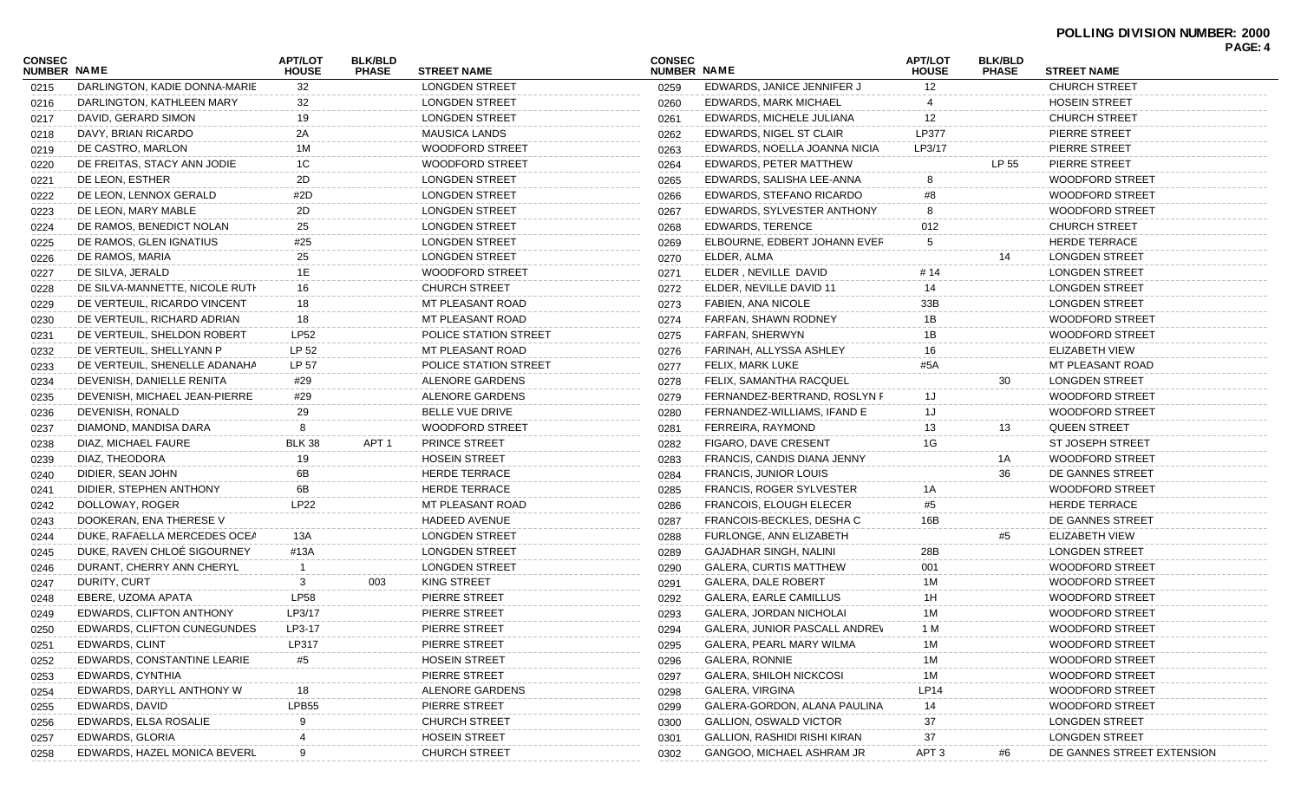| CONSEC<br><b>NUMBER NAME</b> |                                | <b>APT/LOT</b><br><b>HOUSE</b> | <b>BLK/BLD</b><br><b>PHASE</b> | <b>STREET NAME</b>     | <b>CONSEC</b><br>NUMBER NAME |                                      | <b>APT/LOT</b><br><b>HOUSE</b> | <b>BLK/BLD</b><br><b>PHASE</b> | <b>STREET NAME</b>         |  |
|------------------------------|--------------------------------|--------------------------------|--------------------------------|------------------------|------------------------------|--------------------------------------|--------------------------------|--------------------------------|----------------------------|--|
| 0215                         | DARLINGTON, KADIE DONNA-MARIE  | 32                             |                                | <b>LONGDEN STREET</b>  | 0259                         | EDWARDS, JANICE JENNIFER J           | 12 <sup>2</sup>                |                                | <b>CHURCH STREET</b>       |  |
| 0216                         | DARLINGTON, KATHLEEN MARY      | 32                             |                                | <b>LONGDEN STREET</b>  | 0260                         | EDWARDS, MARK MICHAEL                |                                |                                | <b>HOSEIN STREET</b>       |  |
| 0217                         | DAVID, GERARD SIMON            | 19                             |                                | <b>LONGDEN STREET</b>  | 0261                         | EDWARDS, MICHELE JULIANA             | 12                             |                                | <b>CHURCH STREET</b>       |  |
| 0218                         | DAVY, BRIAN RICARDO            | 2A                             |                                | <b>MAUSICA LANDS</b>   | 0262                         | EDWARDS, NIGEL ST CLAIR              | <b>LP377</b>                   |                                | PIERRE STREET              |  |
| 0219                         | DE CASTRO, MARLON              | 1M                             |                                | <b>WOODFORD STREET</b> | 0263                         | EDWARDS, NOELLA JOANNA NICIA         | LP3/17                         |                                | PIERRE STREET              |  |
| 0220                         | DE FREITAS, STACY ANN JODIE    | 1C                             |                                | <b>WOODFORD STREET</b> | 0264                         | EDWARDS, PETER MATTHEW               |                                | LP 55                          | PIERRE STREET              |  |
| 0221                         | DE LEON, ESTHER                | 2D                             |                                | LONGDEN STREET         | 0265                         | EDWARDS, SALISHA LEE-ANNA            | 8                              |                                | <b>WOODFORD STREET</b>     |  |
| 0222                         | DE LEON, LENNOX GERALD         | #2D                            |                                | <b>LONGDEN STREET</b>  | 0266                         | EDWARDS, STEFANO RICARDO             | #8                             |                                | <b>WOODFORD STREET</b>     |  |
| 0223                         | DE LEON, MARY MABLE            | 2D                             |                                | <b>LONGDEN STREET</b>  | 0267                         | EDWARDS, SYLVESTER ANTHONY           | 8                              |                                | <b>WOODFORD STREET</b>     |  |
| 0224                         | DE RAMOS, BENEDICT NOLAN       | 25                             |                                | <b>LONGDEN STREET</b>  | 0268                         | <b>EDWARDS, TERENCE</b>              | 012                            |                                | <b>CHURCH STREET</b>       |  |
| 0225                         | DE RAMOS, GLEN IGNATIUS        | #25                            |                                | <b>LONGDEN STREET</b>  | 0269                         | ELBOURNE, EDBERT JOHANN EVER         | 5                              |                                | <b>HERDE TERRACE</b>       |  |
| 0226                         | DE RAMOS, MARIA                | 25                             |                                | <b>LONGDEN STREET</b>  | 0270                         | ELDER, ALMA                          |                                | 14                             | <b>LONGDEN STREET</b>      |  |
| 0227                         | DE SILVA, JERALD               | 1E                             |                                | <b>WOODFORD STREET</b> | 0271                         | ELDER, NEVILLE DAVID                 | # 14                           |                                | <b>LONGDEN STREET</b>      |  |
| 0228                         | DE SILVA-MANNETTE, NICOLE RUTH | 16                             |                                | <b>CHURCH STREET</b>   | 0272                         | ELDER, NEVILLE DAVID 11              | 14                             |                                | <b>LONGDEN STREET</b>      |  |
| 0229                         | DE VERTEUIL, RICARDO VINCENT   | 18                             |                                | MT PLEASANT ROAD       | 0273                         | FABIEN, ANA NICOLE                   | 33B                            |                                | <b>LONGDEN STREET</b>      |  |
| 0230                         | DE VERTEUIL, RICHARD ADRIAN    | 18                             |                                | MT PLEASANT ROAD       | 0274                         | FARFAN, SHAWN RODNEY                 | 1B                             |                                | <b>WOODFORD STREET</b>     |  |
| 0231                         | DE VERTEUIL, SHELDON ROBERT    | <b>LP52</b>                    |                                | POLICE STATION STREET  | 0275                         | FARFAN, SHERWYN                      | 1B                             |                                | WOODFORD STREET            |  |
| 0232                         | DE VERTEUIL, SHELLYANN P       | LP 52                          |                                | MT PLEASANT ROAD       | 0276                         | FARINAH, ALLYSSA ASHLEY              | 16                             |                                | <b>ELIZABETH VIEW</b>      |  |
| 0233                         | DE VERTEUIL, SHENELLE ADANAHA  | LP 57                          |                                | POLICE STATION STREET  | 0277                         | FELIX, MARK LUKE                     | #5A                            |                                | MT PLEASANT ROAD           |  |
| 0234                         | DEVENISH, DANIELLE RENITA      | #29                            |                                | ALENORE GARDENS        | 0278                         | FELIX, SAMANTHA RACQUEL              |                                | 30                             | <b>LONGDEN STREET</b>      |  |
| 0235                         | DEVENISH, MICHAEL JEAN-PIERRE  | #29                            |                                | ALENORE GARDENS        | 0279                         | FERNANDEZ-BERTRAND, ROSLYN F         | 1J                             |                                | <b>WOODFORD STREET</b>     |  |
| 0236                         | DEVENISH, RONALD               | 29                             |                                | <b>BELLE VUE DRIVE</b> | 0280                         | FERNANDEZ-WILLIAMS, IFAND E          | 1J                             |                                | WOODFORD STREET            |  |
| 0237                         | DIAMOND, MANDISA DARA          | 8                              |                                | WOODFORD STREET        | 0281                         | FERREIRA, RAYMOND                    | 13                             | 13                             | <b>QUEEN STREET</b>        |  |
| 0238                         | DIAZ, MICHAEL FAURE            | <b>BLK 38</b>                  | APT <sub>1</sub>               | PRINCE STREET          | 0282                         | FIGARO, DAVE CRESENT                 | 1G                             |                                | <b>ST JOSEPH STREET</b>    |  |
| 0239                         | DIAZ, THEODORA                 | 19                             |                                | <b>HOSEIN STREET</b>   | 0283                         | FRANCIS, CANDIS DIANA JENNY          |                                | 1A                             | <b>WOODFORD STREET</b>     |  |
| 0240                         | DIDIER, SEAN JOHN              | 6B                             |                                | <b>HERDE TERRACE</b>   | 0284                         | <b>FRANCIS, JUNIOR LOUIS</b>         |                                | 36                             | DE GANNES STREET           |  |
| 0241                         | DIDIER, STEPHEN ANTHONY        | 6B                             |                                | <b>HERDE TERRACE</b>   | 0285                         | FRANCIS, ROGER SYLVESTER             | 1А                             |                                | <b>WOODFORD STREET</b>     |  |
| 0242                         | DOLLOWAY, ROGER                | <b>LP22</b>                    |                                | MT PLEASANT ROAD       | 0286                         | <b>FRANCOIS, ELOUGH ELECER</b>       | #5                             |                                | <b>HERDE TERRACE</b>       |  |
| 0243                         | DOOKERAN, ENA THERESE V        |                                |                                | HADEED AVENUE          | 0287                         | FRANCOIS-BECKLES, DESHA C            | 16B                            |                                | DE GANNES STREET           |  |
| 0244                         | DUKE, RAFAELLA MERCEDES OCEA   | 13A                            |                                | <b>LONGDEN STREET</b>  | 0288                         | FURLONGE, ANN ELIZABETH              |                                | #5                             | <b>ELIZABETH VIEW</b>      |  |
| 0245                         | DUKE, RAVEN CHLOÉ SIGOURNEY    | #13A                           |                                | <b>LONGDEN STREET</b>  | 0289                         | <b>GAJADHAR SINGH, NALINI</b>        | 28B                            |                                | <b>LONGDEN STREET</b>      |  |
| 0246                         | DURANT, CHERRY ANN CHERYL      | -1                             |                                | <b>LONGDEN STREET</b>  | 0290                         | <b>GALERA, CURTIS MATTHEW</b>        | 001                            |                                | <b>WOODFORD STREET</b>     |  |
| 0247                         | DURITY, CURT                   | 3                              | 003                            | KING STREET            | 0291                         | <b>GALERA, DALE ROBERT</b>           | 1M                             |                                | <b>WOODFORD STREET</b>     |  |
| 0248                         | EBERE, UZOMA APATA             | <b>LP58</b>                    |                                | PIERRE STREET          | 0292                         | GALERA, EARLE CAMILLUS               | 1H                             |                                | WOODFORD STREET            |  |
| 0249                         | EDWARDS, CLIFTON ANTHONY       | LP3/17                         |                                | PIERRE STREET          | 0293                         | GALERA, JORDAN NICHOLAI              | 1M                             |                                | <b>WOODFORD STREET</b>     |  |
| 0250                         | EDWARDS, CLIFTON CUNEGUNDES    | LP3-17                         |                                | PIERRE STREET          | 0294                         | <b>GALERA, JUNIOR PASCALL ANDREV</b> | 1 M                            |                                | WOODFORD STREET            |  |
| 0251                         | EDWARDS, CLINT                 | LP317                          |                                | PIERRE STREET          | 0295                         | GALERA, PEARL MARY WILMA             | 1M                             |                                | <b>WOODFORD STREET</b>     |  |
| 0252                         | EDWARDS, CONSTANTINE LEARIE    | #5                             |                                | <b>HOSEIN STREET</b>   | 0296                         | <b>GALERA, RONNIE</b>                | 1 M                            |                                | <b>WOODFORD STREET</b>     |  |
|                              | EDWARDS, CYNTHIA               |                                |                                | PIERRE STREET          |                              | <b>GALERA, SHILOH NICKCOSI</b>       | 1M                             |                                | <b>WOODFORD STREET</b>     |  |
| 0253                         | EDWARDS, DARYLL ANTHONY W      | 18                             |                                | ALENORE GARDENS        | 0297                         | GALERA, VIRGINA                      | <b>LP14</b>                    |                                | <b>WOODFORD STREET</b>     |  |
| 0254                         | EDWARDS, DAVID                 | LPB55                          |                                | PIERRE STREET          | 0298                         | GALERA-GORDON, ALANA PAULINA         | 14                             |                                | <b>WOODFORD STREET</b>     |  |
| 0255                         | EDWARDS, ELSA ROSALIE          |                                |                                | <b>CHURCH STREET</b>   | 0299                         | <b>GALLION, OSWALD VICTOR</b>        | 37                             |                                | <b>LONGDEN STREET</b>      |  |
| 0256                         | EDWARDS, GLORIA                |                                |                                | <b>HOSEIN STREET</b>   | 0300                         | GALLION, RASHIDI RISHI KIRAN         | 37                             |                                | <b>LONGDEN STREET</b>      |  |
| 0257                         |                                |                                |                                |                        | 0301                         |                                      |                                |                                |                            |  |
| 0258                         | EDWARDS, HAZEL MONICA BEVERL   |                                |                                | <b>CHURCH STREET</b>   | 0302                         | GANGOO, MICHAEL ASHRAM JR            | APT <sub>3</sub>               | #6                             | DE GANNES STREET EXTENSION |  |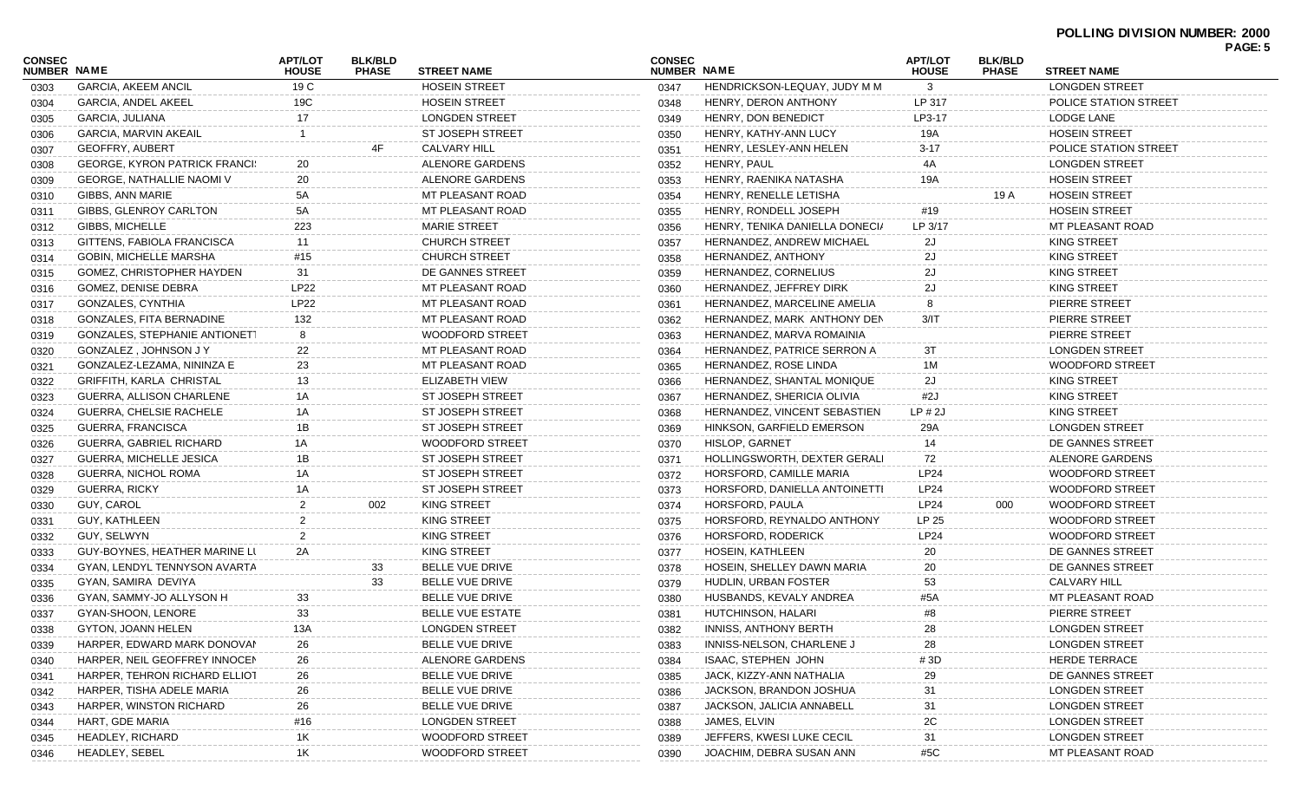| <b>CONSEC</b><br><b>NUMBER NAME</b> |                                      | <b>APT/LOT</b><br><b>HOUSE</b> | <b>BLK/BLD</b><br><b>PHASE</b> | <b>STREET NAME</b>      | <b>CONSEC</b><br>NUMBER NAME |                                | <b>APT/LOT</b><br><b>HOUSE</b> | <b>BLK/BLD</b><br><b>PHASE</b> | <b>STREET NAME</b>      | <b>PAGE: 5</b> |
|-------------------------------------|--------------------------------------|--------------------------------|--------------------------------|-------------------------|------------------------------|--------------------------------|--------------------------------|--------------------------------|-------------------------|----------------|
| 0303                                | <b>GARCIA, AKEEM ANCIL</b>           | 19 C                           |                                | <b>HOSEIN STREET</b>    | 0347                         | HENDRICKSON-LEQUAY, JUDY M M   | 3                              |                                | <b>LONGDEN STREET</b>   |                |
| 0304                                | <b>GARCIA, ANDEL AKEEL</b>           | 19C                            |                                | <b>HOSEIN STREET</b>    | 0348                         | HENRY, DERON ANTHONY           | LP 317                         |                                | POLICE STATION STREET   |                |
| 0305                                | GARCIA, JULIANA                      | 17                             |                                | <b>LONGDEN STREET</b>   | 0349                         | HENRY, DON BENEDICT            | LP3-17                         |                                | LODGE LANE              |                |
| 0306                                | GARCIA, MARVIN AKEAIL                |                                |                                | <b>ST JOSEPH STREET</b> | 0350                         | HENRY, KATHY-ANN LUCY          | 19A                            |                                | <b>HOSEIN STREET</b>    |                |
| 0307                                | <b>GEOFFRY, AUBERT</b>               |                                | 4F                             | <b>CALVARY HILL</b>     | 0351                         | HENRY, LESLEY-ANN HELEN        | $3 - 17$                       |                                | POLICE STATION STREET   |                |
| 0308                                | <b>GEORGE, KYRON PATRICK FRANCI:</b> | 20                             |                                | ALENORE GARDENS         | 0352                         | HENRY, PAUL                    | 4A                             |                                | <b>LONGDEN STREET</b>   |                |
| 0309                                | <b>GEORGE, NATHALLIE NAOMI V</b>     | 20                             |                                | ALENORE GARDENS         | 0353                         | HENRY, RAENIKA NATASHA         | 19A                            |                                | <b>HOSEIN STREET</b>    |                |
| 0310                                | GIBBS, ANN MARIE                     | 5A                             |                                | MT PLEASANT ROAD        | 0354                         | HENRY, RENELLE LETISHA         |                                | 19 A                           | <b>HOSEIN STREET</b>    |                |
| 0311                                | GIBBS, GLENROY CARLTON               | 5A                             |                                | MT PLEASANT ROAD        | 0355                         | HENRY, RONDELL JOSEPH          | #19                            |                                | <b>HOSEIN STREET</b>    |                |
|                                     | GIBBS, MICHELLE                      | 223                            |                                | <b>MARIE STREET</b>     | 0356                         | HENRY, TENIKA DANIELLA DONECIA | LP 3/17                        |                                | <b>MT PLEASANT ROAD</b> |                |
| 0312                                | GITTENS, FABIOLA FRANCISCA           | 11                             |                                | CHURCH STREET           | 0357                         | HERNANDEZ, ANDREW MICHAEL      | 2J                             |                                | <b>KING STREET</b>      |                |
| 0313                                | <b>GOBIN, MICHELLE MARSHA</b>        | #15                            |                                | <b>CHURCH STREET</b>    |                              | HERNANDEZ, ANTHONY             | 2J                             |                                | <b>KING STREET</b>      |                |
| 0314                                | GOMEZ, CHRISTOPHER HAYDEN            | 31                             |                                | DE GANNES STREET        | 0358                         | HERNANDEZ, CORNELIUS           | 2J                             |                                | <b>KING STREET</b>      |                |
| 0315                                |                                      | LP22                           |                                | MT PLEASANT ROAD        | 0359                         |                                | 2J                             |                                | <b>KING STREET</b>      |                |
| 0316                                | GOMEZ, DENISE DEBRA                  |                                |                                |                         | 0360                         | HERNANDEZ, JEFFREY DIRK        |                                |                                | PIERRE STREET           |                |
| 0317                                | GONZALES, CYNTHIA                    | LP22                           |                                | MT PLEASANT ROAD        | 0361                         | HERNANDEZ, MARCELINE AMELIA    | 8                              |                                |                         |                |
| 0318                                | GONZALES, FITA BERNADINE             | 132                            |                                | MT PLEASANT ROAD        | 0362                         | HERNANDEZ, MARK ANTHONY DEN    | $3/1$ T                        |                                | PIERRE STREET           |                |
| 0319                                | <b>GONZALES, STEPHANIE ANTIONETT</b> | 8                              |                                | <b>WOODFORD STREET</b>  | 0363                         | HERNANDEZ, MARVA ROMAINIA      |                                |                                | PIERRE STREET           |                |
| 0320                                | GONZALEZ, JOHNSON JY                 | 22                             |                                | MT PLEASANT ROAD        | 0364                         | HERNANDEZ, PATRICE SERRON A    | 3Т                             |                                | LONGDEN STREET          |                |
| 0321                                | GONZALEZ-LEZAMA, NININZA E           | 23                             |                                | MT PLEASANT ROAD        | 0365                         | HERNANDEZ, ROSE LINDA          | 1M                             |                                | <b>WOODFORD STREET</b>  |                |
| 0322                                | GRIFFITH, KARLA CHRISTAL             | 13                             |                                | ELIZABETH VIEW          | 0366                         | HERNANDEZ, SHANTAL MONIQUE     | 2J                             |                                | <b>KING STREET</b>      |                |
| 0323                                | GUERRA, ALLISON CHARLENE             | 1A                             |                                | <b>ST JOSEPH STREET</b> | 0367                         | HERNANDEZ, SHERICIA OLIVIA     | #2J                            |                                | <b>KING STREET</b>      |                |
| 0324                                | <b>GUERRA, CHELSIE RACHELE</b>       | 1A                             |                                | ST JOSEPH STREET        | 0368                         | HERNANDEZ, VINCENT SEBASTIEN   | LP#2J                          |                                | <b>KING STREET</b>      |                |
| 0325                                | GUERRA, FRANCISCA                    | 1B                             |                                | ST JOSEPH STREET        | 0369                         | HINKSON, GARFIELD EMERSON      | 29A                            |                                | <b>LONGDEN STREET</b>   |                |
| 0326                                | GUERRA, GABRIEL RICHARD              | 1A                             |                                | <b>WOODFORD STREET</b>  | 0370                         | <b>HISLOP, GARNET</b>          | 14                             |                                | DE GANNES STREET        |                |
| 0327                                | <b>GUERRA, MICHELLE JESICA</b>       | 1B                             |                                | <b>ST JOSEPH STREET</b> | 0371                         | HOLLINGSWORTH, DEXTER GERALI   | 72                             |                                | ALENORE GARDENS         |                |
| 0328                                | GUERRA, NICHOL ROMA                  | 1A                             |                                | <b>ST JOSEPH STREET</b> | 0372                         | HORSFORD, CAMILLE MARIA        | <b>LP24</b>                    |                                | <b>WOODFORD STREET</b>  |                |
| 0329                                | <b>GUERRA, RICKY</b>                 | 1A                             |                                | ST JOSEPH STREET        | 0373                         | HORSFORD, DANIELLA ANTOINETTI  | <b>LP24</b>                    |                                | <b>WOODFORD STREET</b>  |                |
| 0330                                | GUY, CAROL                           | $\overline{2}$                 | 002                            | <b>KING STREET</b>      | 0374                         | HORSFORD, PAULA                | <b>LP24</b>                    | 000                            | <b>WOODFORD STREET</b>  |                |
| 0331                                | <b>GUY, KATHLEEN</b>                 | 2                              |                                | <b>KING STREET</b>      | 0375                         | HORSFORD, REYNALDO ANTHONY     | LP 25                          |                                | <b>WOODFORD STREET</b>  |                |
| 0332                                | GUY, SELWYN                          | 2                              |                                | <b>KING STREET</b>      | 0376                         | HORSFORD, RODERICK             | <b>LP24</b>                    |                                | <b>WOODFORD STREET</b>  |                |
| 0333                                | GUY-BOYNES, HEATHER MARINE LI        | 2A                             |                                | KING STREET             | 0377                         | HOSEIN, KATHLEEN               | 20                             |                                | DE GANNES STREET        |                |
| 0334                                | GYAN, LENDYL TENNYSON AVARTA         |                                | 33                             | BELLE VUE DRIVE         | 0378                         | HOSEIN, SHELLEY DAWN MARIA     | 20                             |                                | DE GANNES STREET        |                |
| 0335                                | GYAN, SAMIRA DEVIYA                  |                                | 33                             | BELLE VUE DRIVE         | 0379                         | HUDLIN, URBAN FOSTER           | 53                             |                                | <b>CALVARY HILL</b>     |                |
| 0336                                | GYAN, SAMMY-JO ALLYSON H             | 33                             |                                | BELLE VUE DRIVE         | 0380                         | HUSBANDS, KEVALY ANDREA        | #5A                            |                                | MT PLEASANT ROAD        |                |
| 0337                                | GYAN-SHOON, LENORE                   | 33                             |                                | <b>BELLE VUE ESTATE</b> | 0381                         | HUTCHINSON, HALARI             | #8                             |                                | PIERRE STREET           |                |
| 0338                                | GYTON, JOANN HELEN                   | 13A                            |                                | LONGDEN STREET          | 0382                         | <b>INNISS, ANTHONY BERTH</b>   | 28                             |                                | <b>LONGDEN STREET</b>   |                |
| 0339                                | HARPER, EDWARD MARK DONOVAN          | 26                             |                                | BELLE VUE DRIVE         | 0383                         | INNISS-NELSON, CHARLENE J      | 28                             |                                | <b>LONGDEN STREET</b>   |                |
| 0340                                | HARPER, NEIL GEOFFREY INNOCEN        | 26                             |                                | ALENORE GARDENS         | 0384                         | ISAAC, STEPHEN JOHN            | #3D                            |                                | <b>HERDE TERRACE</b>    |                |
| 0341                                | HARPER, TEHRON RICHARD ELLIOT        | 26                             |                                | <b>BELLE VUE DRIVE</b>  | 0385                         | JACK, KIZZY-ANN NATHALIA       | 29                             |                                | DE GANNES STREET        |                |
| 0342                                | HARPER, TISHA ADELE MARIA            | 26                             |                                | BELLE VUE DRIVE         | 0386                         | JACKSON, BRANDON JOSHUA        | 31                             |                                | <b>LONGDEN STREET</b>   |                |
| 0343                                | HARPER, WINSTON RICHARD              | 26                             |                                | BELLE VUE DRIVE         | 0387                         | JACKSON, JALICIA ANNABELL      | 31                             |                                | <b>LONGDEN STREET</b>   |                |
| 0344                                | HART, GDE MARIA                      | #16                            |                                | <b>LONGDEN STREET</b>   | 0388                         | JAMES, ELVIN                   | 2C                             |                                | <b>LONGDEN STREET</b>   |                |
| 0345                                | <b>HEADLEY, RICHARD</b>              | 1K                             |                                | <b>WOODFORD STREET</b>  | 0389                         | JEFFERS, KWESI LUKE CECIL      | 31                             |                                | <b>LONGDEN STREET</b>   |                |
| 0346                                | HEADLEY, SEBEL                       | 1K                             |                                | WOODFORD STREET         | 0390                         | JOACHIM, DEBRA SUSAN ANN       | #5C                            |                                | MT PLEASANT ROAD        |                |
|                                     |                                      |                                |                                |                         |                              |                                |                                |                                |                         |                |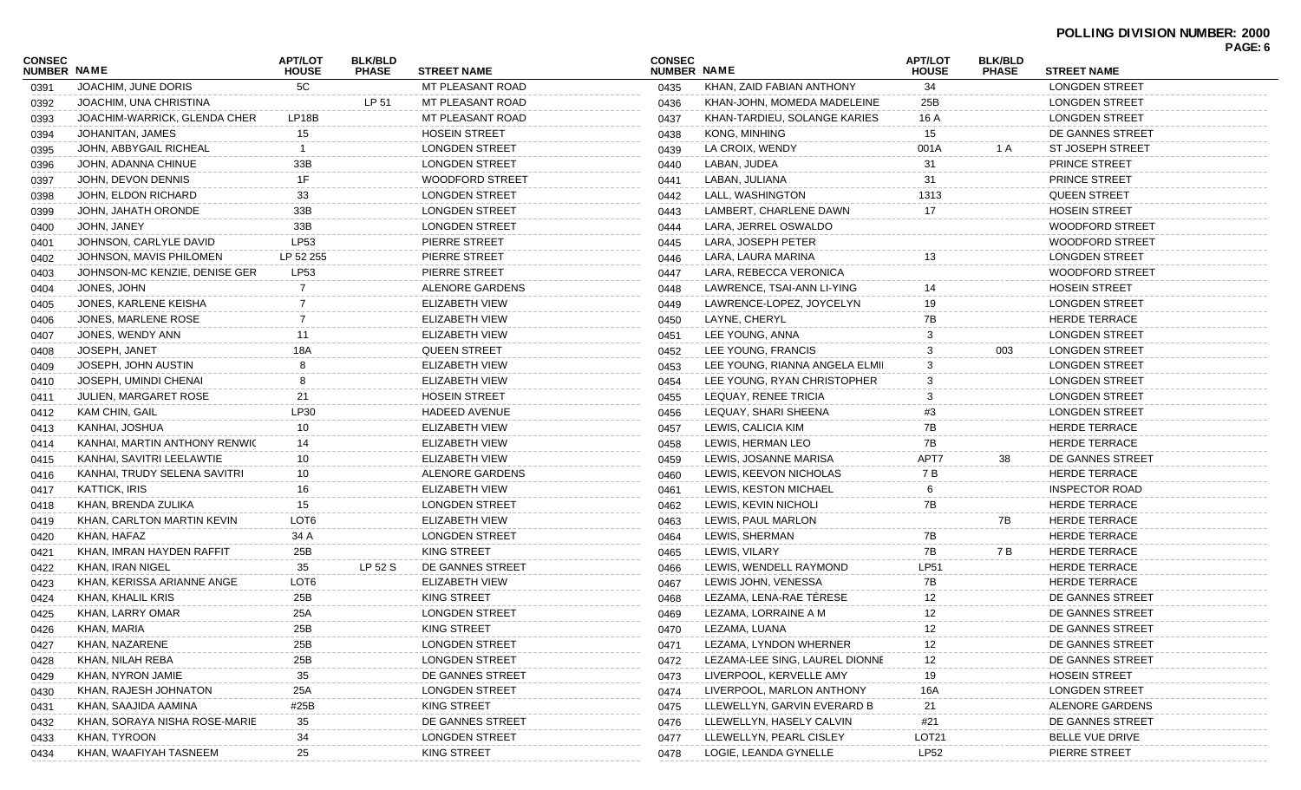| CONSEC             |                               | <b>APT/LOT</b>   | <b>BLK/BLD</b> |                        | <b>CONSEC</b> |                                | <b>APT/LOT</b>    | <b>BLK/BLD</b> |                         | PAGE: 6 |
|--------------------|-------------------------------|------------------|----------------|------------------------|---------------|--------------------------------|-------------------|----------------|-------------------------|---------|
| <b>NUMBER NAME</b> |                               | <b>HOUSE</b>     | <b>PHASE</b>   | <b>STREET NAME</b>     | NUMBER NAME   |                                | <b>HOUSE</b>      | <b>PHASE</b>   | <b>STREET NAME</b>      |         |
| 0391               | JOACHIM, JUNE DORIS           | 5C               |                | MT PLEASANT ROAD       | 0435          | KHAN, ZAID FABIAN ANTHONY      | 34                |                | <b>LONGDEN STREET</b>   |         |
| 0392               | JOACHIM, UNA CHRISTINA        |                  | LP 51          | MT PLEASANT ROAD       | 0436          | KHAN-JOHN, MOMEDA MADELEINE    | 25B               |                | <b>LONGDEN STREET</b>   |         |
| 0393               | JOACHIM-WARRICK, GLENDA CHER  | LP18B            |                | MT PLEASANT ROAD       | 0437          | KHAN-TARDIEU, SOLANGE KARIES   | 16 A              |                | <b>LONGDEN STREET</b>   |         |
| 0394               | JOHANITAN, JAMES              | 15               |                | <b>HOSEIN STREET</b>   | 0438          | KONG, MINHING                  | 15                |                | DE GANNES STREET        |         |
| 0395               | JOHN, ABBYGAIL RICHEAL        |                  |                | <b>LONGDEN STREET</b>  | 0439          | LA CROIX, WENDY                | 001A              | 1 A            | <b>ST JOSEPH STREET</b> |         |
| 0396               | JOHN, ADANNA CHINUE           | 33B              |                | <b>LONGDEN STREET</b>  | 0440          | LABAN, JUDEA                   | 31                |                | <b>PRINCE STREET</b>    |         |
| 0397               | JOHN, DEVON DENNIS            | 1F               |                | <b>WOODFORD STREET</b> | 0441          | LABAN, JULIANA                 | 31                |                | <b>PRINCE STREET</b>    |         |
| 0398               | JOHN, ELDON RICHARD           | 33               |                | <b>LONGDEN STREET</b>  | 0442          | LALL, WASHINGTON               | 1313              |                | <b>QUEEN STREET</b>     |         |
| 0399               | JOHN, JAHATH ORONDE           | 33B              |                | <b>LONGDEN STREET</b>  | 0443          | LAMBERT, CHARLENE DAWN         | 17                |                | <b>HOSEIN STREET</b>    |         |
| 0400               | JOHN, JANEY                   | 33B              |                | <b>LONGDEN STREET</b>  | 0444          | LARA, JERREL OSWALDO           |                   |                | <b>WOODFORD STREET</b>  |         |
| 0401               | JOHNSON, CARLYLE DAVID        | LP53             |                | PIERRE STREET          | 0445          | LARA, JOSEPH PETER             |                   |                | <b>WOODFORD STREET</b>  |         |
| 0402               | JOHNSON, MAVIS PHILOMEN       | LP 52 255        |                | PIERRE STREET          | 0446          | LARA, LAURA MARINA             | 13                |                | <b>LONGDEN STREET</b>   |         |
| 0403               | JOHNSON-MC KENZIE, DENISE GER | LP53             |                | PIERRE STREET          | 0447          | LARA, REBECCA VERONICA         |                   |                | <b>WOODFORD STREET</b>  |         |
| 0404               | JONES, JOHN                   |                  |                | ALENORE GARDENS        | 0448          | LAWRENCE, TSAI-ANN LI-YING     |                   |                | <b>HOSEIN STREET</b>    |         |
| 0405               | JONES, KARLENE KEISHA         |                  |                | <b>ELIZABETH VIEW</b>  | 0449          | LAWRENCE-LOPEZ, JOYCELYN       | 19                |                | <b>LONGDEN STREET</b>   |         |
| 0406               | JONES, MARLENE ROSE           |                  |                | <b>ELIZABETH VIEW</b>  | 0450          | LAYNE, CHERYL                  | 7В                |                | <b>HERDE TERRACE</b>    |         |
| 0407               | JONES, WENDY ANN              | 11               |                | <b>ELIZABETH VIEW</b>  | 0451          | LEE YOUNG, ANNA                | 3                 |                | <b>LONGDEN STREET</b>   |         |
| 0408               | JOSEPH, JANET                 | 18A              |                | <b>QUEEN STREET</b>    | 0452          | LEE YOUNG, FRANCIS             | 3                 | 003            | <b>LONGDEN STREET</b>   |         |
| 0409               | JOSEPH, JOHN AUSTIN           |                  |                | <b>ELIZABETH VIEW</b>  | 0453          | LEE YOUNG, RIANNA ANGELA ELMII | 3                 |                | <b>LONGDEN STREET</b>   |         |
| 0410               | JOSEPH, UMINDI CHENAI         |                  |                | <b>ELIZABETH VIEW</b>  | 0454          | LEE YOUNG, RYAN CHRISTOPHER    |                   |                | <b>LONGDEN STREET</b>   |         |
| 0411               | JULIEN, MARGARET ROSE         | 21               |                | <b>HOSEIN STREET</b>   | 0455          | LEQUAY, RENEE TRICIA           | 3                 |                | <b>LONGDEN STREET</b>   |         |
| 0412               | KAM CHIN, GAIL                | LP30             |                | <b>HADEED AVENUE</b>   | 0456          | LEQUAY, SHARI SHEENA           | #3                |                | <b>LONGDEN STREET</b>   |         |
| 0413               | KANHAI, JOSHUA                | 10               |                | <b>ELIZABETH VIEW</b>  | 0457          | LEWIS, CALICIA KIM             | 7B                |                | <b>HERDE TERRACE</b>    |         |
| 0414               | KANHAI, MARTIN ANTHONY RENWIC | 14               |                | <b>ELIZABETH VIEW</b>  | 0458          | LEWIS, HERMAN LEO              | 7B                |                | <b>HERDE TERRACE</b>    |         |
| 0415               | KANHAI, SAVITRI LEELAWTIE     | 10               |                | ELIZABETH VIEW         | 0459          | LEWIS, JOSANNE MARISA          | APT7              | 38             | DE GANNES STREET        |         |
| 0416               | KANHAI, TRUDY SELENA SAVITRI  | 10               |                | ALENORE GARDENS        | 0460          | LEWIS, KEEVON NICHOLAS         | 7 B               |                | <b>HERDE TERRACE</b>    |         |
| 0417               | KATTICK, IRIS                 | 16               |                | <b>ELIZABETH VIEW</b>  | 0461          | LEWIS, KESTON MICHAEL          | 6                 |                | <b>INSPECTOR ROAD</b>   |         |
| 0418               | KHAN, BRENDA ZULIKA           | 15               |                | <b>LONGDEN STREET</b>  | 0462          | LEWIS, KEVIN NICHOLI           | 7B                |                | <b>HERDE TERRACE</b>    |         |
| 0419               | KHAN, CARLTON MARTIN KEVIN    | LOT <sub>6</sub> |                | <b>ELIZABETH VIEW</b>  | 0463          | LEWIS, PAUL MARLON             |                   | 7B             | <b>HERDE TERRACE</b>    |         |
| 0420               | KHAN, HAFAZ                   | 34 A             |                | <b>LONGDEN STREET</b>  | 0464          | LEWIS, SHERMAN                 | 7B                |                | <b>HERDE TERRACE</b>    |         |
| 0421               | KHAN, IMRAN HAYDEN RAFFIT     | 25B              |                | <b>KING STREET</b>     | 0465          | LEWIS, VILARY                  | 7B                | 7 B            | <b>HERDE TERRACE</b>    |         |
| 0422               | KHAN, IRAN NIGEL              | 35               | LP 52 S        | DE GANNES STREET       | 0466          | LEWIS, WENDELL RAYMOND         | <b>LP51</b>       |                | <b>HERDE TERRACE</b>    |         |
| 0423               | KHAN, KERISSA ARIANNE ANGE    | LOT6             |                | <b>ELIZABETH VIEW</b>  | 0467          | LEWIS JOHN, VENESSA            | 7B                |                | <b>HERDE TERRACE</b>    |         |
| 0424               | KHAN, KHALIL KRIS             | 25B              |                | <b>KING STREET</b>     | 0468          | LEZAMA, LENA-RAE TÉRESE        | 12                |                | DE GANNES STREET        |         |
| 0425               | KHAN, LARRY OMAR              | 25A              |                | <b>LONGDEN STREET</b>  | 0469          | LEZAMA, LORRAINE A M           | 12                |                | DE GANNES STREET        |         |
| 0426               | KHAN, MARIA                   | 25B              |                | KING STREET            | 0470          | LEZAMA, LUANA                  | 12                |                | DE GANNES STREET        |         |
| 0427               | KHAN, NAZARENE                | 25B              |                | <b>LONGDEN STREET</b>  | 0471          | LEZAMA, LYNDON WHERNER         | 12                |                | DE GANNES STREET        |         |
| 0428               | KHAN, NILAH REBA              | $25B$            |                | <b>LONGDEN STREET</b>  | 0472          | LEZAMA-LEE SING, LAUREL DIONNE | 12                |                | DE GANNES STREET        |         |
| 0429               | KHAN, NYRON JAMIE             | 35               |                | DE GANNES STREET       | 0473          | LIVERPOOL, KERVELLE AMY        | 19                |                | <b>HOSEIN STREET</b>    |         |
| 0430               | KHAN, RAJESH JOHNATON         | 25A              |                | <b>LONGDEN STREET</b>  | 0474          | LIVERPOOL, MARLON ANTHONY      | 16A               |                | <b>LONGDEN STREET</b>   |         |
| 0431               | KHAN, SAAJIDA AAMINA          | #25B             |                | KING STREET            | 0475          | LLEWELLYN, GARVIN EVERARD B    | 21                |                | <b>ALENORE GARDENS</b>  |         |
| 0432               | KHAN, SORAYA NISHA ROSE-MARIE | 35               |                | DE GANNES STREET       | 0476          | LLEWELLYN, HASELY CALVIN       | #21               |                | DE GANNES STREET        |         |
| 0433               | KHAN, TYROON                  | 34               |                | <b>LONGDEN STREET</b>  | 0477          | LLEWELLYN, PEARL CISLEY        | LOT <sub>21</sub> |                | BELLE VUE DRIVE         |         |
| 0434               | KHAN, WAAFIYAH TASNEEM        | 25               |                | KING STREET            | 0478          | LOGIE, LEANDA GYNELLE          | <b>LP52</b>       |                | PIERRE STREET           |         |
|                    |                               |                  |                |                        |               |                                |                   |                |                         |         |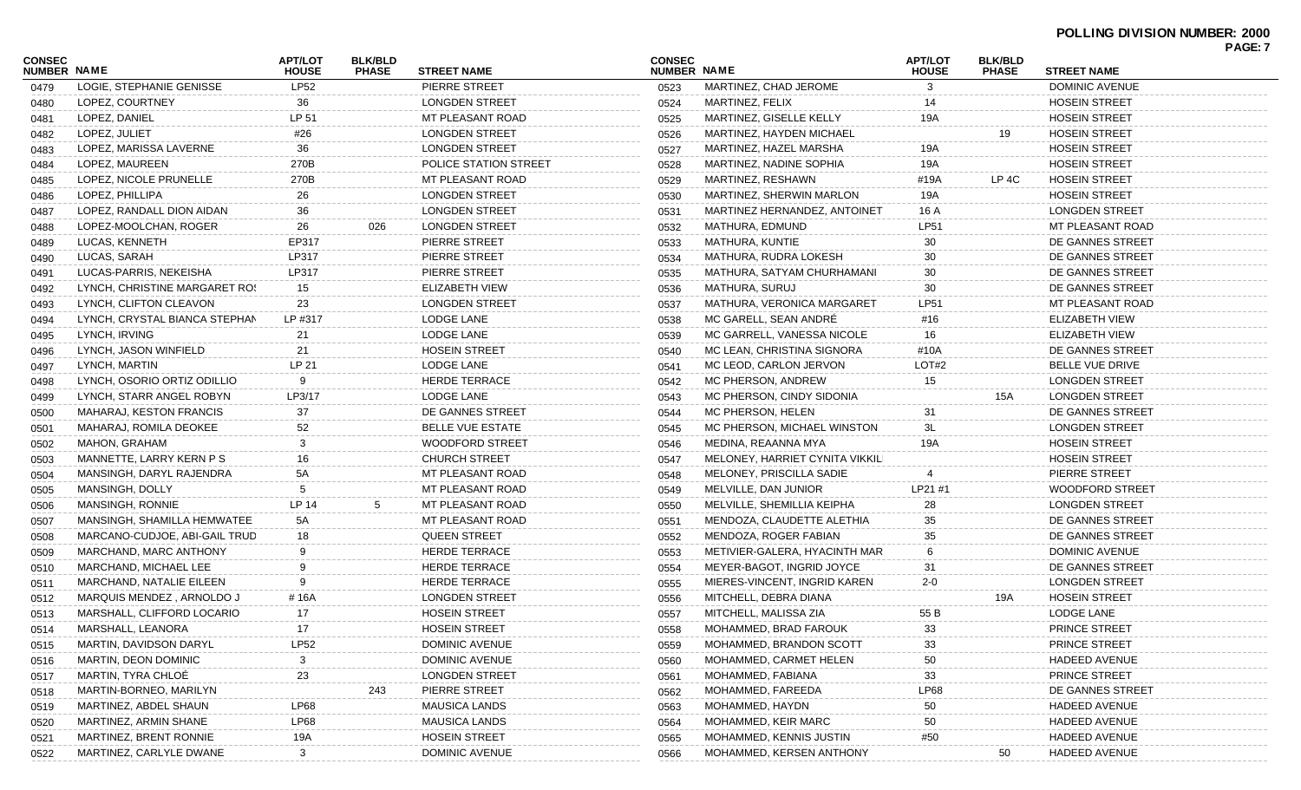|                              |                                            |                                |                                |                                        |                              |                                 |                                |                                |                        | PAGE: 7 |
|------------------------------|--------------------------------------------|--------------------------------|--------------------------------|----------------------------------------|------------------------------|---------------------------------|--------------------------------|--------------------------------|------------------------|---------|
| <b>CONSEC</b><br>NUMBER NAME |                                            | <b>APT/LOT</b><br><b>HOUSE</b> | <b>BLK/BLD</b><br><b>PHASE</b> | <b>STREET NAME</b>                     | <b>CONSEC</b><br>NUMBER NAME |                                 | <b>APT/LOT</b><br><b>HOUSE</b> | <b>BLK/BLD</b><br><b>PHASE</b> | <b>STREET NAME</b>     |         |
| 0479                         | LOGIE, STEPHANIE GENISSE                   | <b>LP52</b>                    |                                | PIERRE STREET                          | 0523                         | MARTINEZ, CHAD JEROME           | $\mathbf{3}$                   |                                | DOMINIC AVENUE         |         |
| 0480                         | LOPEZ, COURTNEY                            | 36                             |                                | <b>LONGDEN STREET</b>                  | 0524                         | MARTINEZ, FELIX                 | 14                             |                                | <b>HOSEIN STREET</b>   |         |
| 0481                         | LOPEZ, DANIEL                              | LP 51                          |                                | <b>MT PLEASANT ROAD</b>                | 0525                         | <b>MARTINEZ, GISELLE KELLY</b>  | 19A                            |                                | <b>HOSEIN STREET</b>   |         |
| 0482                         | LOPEZ, JULIET                              | #26                            |                                | <b>LONGDEN STREET</b>                  | 0526                         | MARTINEZ, HAYDEN MICHAEL        |                                | 19                             | <b>HOSEIN STREET</b>   |         |
| 0483                         | LOPEZ, MARISSA LAVERNE                     | 36                             |                                | <b>LONGDEN STREET</b>                  | 0527                         | MARTINEZ, HAZEL MARSHA          | 19A                            |                                | <b>HOSEIN STREET</b>   |         |
| 0484                         | LOPEZ, MAUREEN                             | 270B                           |                                | POLICE STATION STREET                  | 0528                         | MARTINEZ, NADINE SOPHIA         | 19A                            |                                | <b>HOSEIN STREET</b>   |         |
| 0485                         | LOPEZ, NICOLE PRUNELLE                     | 270B                           |                                | MT PLEASANT ROAD                       | 0529                         | MARTINEZ, RESHAWN               | #19A                           | LP 4C                          | <b>HOSEIN STREET</b>   |         |
| 0486                         | LOPEZ, PHILLIPA                            | 26                             |                                | <b>LONGDEN STREET</b>                  | 0530                         | MARTINEZ, SHERWIN MARLON        | 19A                            |                                | <b>HOSEIN STREET</b>   |         |
| 0487                         | LOPEZ, RANDALL DION AIDAN                  | 36                             |                                | <b>LONGDEN STREET</b>                  | 0531                         | MARTINEZ HERNANDEZ, ANTOINET    | 16 A                           |                                | <b>LONGDEN STREET</b>  |         |
| 0488                         | LOPEZ-MOOLCHAN, ROGER                      | 26                             | 026                            | <b>LONGDEN STREET</b>                  | 0532                         | MATHURA, EDMUND                 | <b>LP51</b>                    |                                | MT PLEASANT ROAD       |         |
| 0489                         | LUCAS, KENNETH                             | EP317                          |                                | PIERRE STREET                          | 0533                         | MATHURA, KUNTIE                 | 30                             |                                | DE GANNES STREET       |         |
| 0490                         | LUCAS, SARAH                               | LP317                          |                                | PIERRE STREET                          | 0534                         | MATHURA, RUDRA LOKESH           | 30                             |                                | DE GANNES STREET       |         |
| 0491                         | LUCAS-PARRIS, NEKEISHA                     | LP317                          |                                | PIERRE STREET                          | 0535                         | MATHURA, SATYAM CHURHAMANI      | 30                             |                                | DE GANNES STREET       |         |
| 0492                         | LYNCH, CHRISTINE MARGARET ROS              | 15                             |                                | ELIZABETH VIEW                         | 0536                         | <b>MATHURA, SURUJ</b>           | 30                             |                                | DE GANNES STREET       |         |
| 0493                         | LYNCH, CLIFTON CLEAVON                     | 23                             |                                | <b>LONGDEN STREET</b>                  | 0537                         | MATHURA, VERONICA MARGARET      | <b>LP51</b>                    |                                | MT PLEASANT ROAD       |         |
| 0494                         | LYNCH, CRYSTAL BIANCA STEPHAN              | LP #317                        |                                | LODGE LANE                             | 0538                         | MC GARELL, SEAN ANDRE           | #16                            |                                | <b>ELIZABETH VIEW</b>  |         |
| 0495                         | LYNCH, IRVING                              | 21                             |                                | LODGE LANE                             | 0539                         | MC GARRELL, VANESSA NICOLE      | 16                             |                                | ELIZABETH VIEW         |         |
| 0496                         | LYNCH, JASON WINFIELD                      | 21                             |                                | <b>HOSEIN STREET</b>                   | 0540                         | MC LEAN, CHRISTINA SIGNORA      | #10A                           |                                | DE GANNES STREET       |         |
| 0497                         | LYNCH, MARTIN                              | LP 21                          |                                | LODGE LANE                             | 0541                         | MC LEOD, CARLON JERVON          | LOT#2                          |                                | <b>BELLE VUE DRIVE</b> |         |
| 0498                         | LYNCH. OSORIO ORTIZ ODILLIO                | 9                              |                                | <b>HERDE TERRACE</b>                   | 0542                         | MC PHERSON, ANDREW              | 15                             |                                | <b>LONGDEN STREET</b>  |         |
| 0499                         | LYNCH. STARR ANGEL ROBYN                   | LP3/17                         |                                | LODGE LANE                             | 0543                         | MC PHERSON, CINDY SIDONIA       |                                | 15A                            | <b>LONGDEN STREET</b>  |         |
| 0500                         | MAHARAJ, KESTON FRANCIS                    | 37                             |                                | DE GANNES STREET                       | 0544                         | MC PHERSON, HELEN               | 31                             |                                | DE GANNES STREET       |         |
| 0501                         | MAHARAJ, ROMILA DEOKEE                     | 52                             |                                | <b>BELLE VUE ESTATE</b>                | 0545                         | MC PHERSON, MICHAEL WINSTON     | 3L                             |                                | <b>LONGDEN STREET</b>  |         |
| 0502                         | MAHON, GRAHAM                              | 3                              |                                | <b>WOODFORD STREET</b>                 | 0546                         | MEDINA, REAANNA MYA             | 19A                            |                                | <b>HOSEIN STREET</b>   |         |
| 0503                         | MANNETTE, LARRY KERN P S                   | 16                             |                                | <b>CHURCH STREET</b>                   | 0547                         | MELONEY, HARRIET CYNITA VIKKILI |                                |                                | <b>HOSEIN STREET</b>   |         |
| 0504                         | MANSINGH, DARYL RAJENDRA                   | 5A                             |                                | MT PLEASANT ROAD                       | 0548                         | MELONEY, PRISCILLA SADIE        |                                |                                | PIERRE STREET          |         |
| 0505                         | MANSINGH, DOLLY                            | 5                              |                                | MT PLEASANT ROAD                       | 0549                         | MELVILLE, DAN JUNIOR            | LP21 #1                        |                                | <b>WOODFORD STREET</b> |         |
| 0506                         | MANSINGH, RONNIE                           | LP 14                          | 5                              | MT PLEASANT ROAD                       | 0550                         | MELVILLE, SHEMILLIA KEIPHA      | 28                             |                                | <b>LONGDEN STREET</b>  |         |
| 0507                         | MANSINGH, SHAMILLA HEMWATEE                | 5A                             |                                | MT PLEASANT ROAD                       | 0551                         | MENDOZA, CLAUDETTE ALETHIA      | 35                             |                                | DE GANNES STREET       |         |
| 0508                         | MARCANO-CUDJOE, ABI-GAIL TRUD              | 18                             |                                | QUEEN STREET                           | 0552                         | MENDOZA, ROGER FABIAN           | 35                             |                                | DE GANNES STREET       |         |
| 0509                         | MARCHAND, MARC ANTHONY                     | 9                              |                                | <b>HERDE TERRACE</b>                   | 0553                         | METIVIER-GALERA, HYACINTH MAR   | 6                              |                                | DOMINIC AVENUE         |         |
| 0510                         | MARCHAND, MICHAEL LEE                      | 9                              |                                | <b>HERDE TERRACE</b>                   | 0554                         | MEYER-BAGOT, INGRID JOYCE       | 31                             |                                | DE GANNES STREET       |         |
| 0511                         | MARCHAND, NATALIE EILEEN                   | 9                              |                                | HERDE TERRACE                          | 0555                         | MIERES-VINCENT, INGRID KAREN    | $2 - 0$                        |                                | <b>LONGDEN STREET</b>  |         |
| 0512                         | MARQUIS MENDEZ, ARNOLDO J                  | #16A                           |                                | <b>LONGDEN STREET</b>                  | 0556                         | MITCHELL, DEBRA DIANA           |                                | 19A                            | <b>HOSEIN STREET</b>   |         |
|                              | MARSHALL, CLIFFORD LOCARIO                 | 17                             |                                | <b>HOSEIN STREET</b>                   | 0557                         | MITCHELL, MALISSA ZIA           | 55 B                           |                                | LODGE LANE             |         |
| 0513                         | MARSHALL, LEANORA                          | 17                             |                                | <b>HOSEIN STREET</b>                   |                              | MOHAMMED, BRAD FAROUK           | 33                             |                                | PRINCE STREET          |         |
| 0514                         | MARTIN, DAVIDSON DARYL                     | LP52                           |                                | <b>DOMINIC AVENUE</b>                  | 0558                         | MOHAMMED, BRANDON SCOTT         | 33                             |                                | PRINCE STREET          |         |
| 0515                         |                                            |                                |                                | <b>DOMINIC AVENUE</b>                  | 0559                         |                                 |                                |                                | <b>HADEED AVENUE</b>   |         |
| 0516                         | MARTIN, DEON DOMINIC<br>MARTIN, TYRA CHLOÉ | 3                              |                                |                                        | 0560                         | MOHAMMED, CARMET HELEN          | 50                             |                                |                        |         |
| 0517                         |                                            | 23                             |                                | <b>LONGDEN STREET</b><br>PIERRE STREET | 0561                         | MOHAMMED, FABIANA               | 33                             |                                | PRINCE STREET          |         |
| 0518                         | MARTIN-BORNEO, MARILYN                     |                                | 243                            |                                        | 0562                         | MOHAMMED, FAREEDA               | <b>LP68</b>                    |                                | DE GANNES STREET       |         |
| 0519                         | MARTINEZ, ABDEL SHAUN                      | LP68                           |                                | <b>MAUSICA LANDS</b>                   | 0563                         | MOHAMMED, HAYDN                 | $50\,$                         |                                | <b>HADEED AVENUE</b>   |         |
| 0520                         | MARTINEZ, ARMIN SHANE                      | LP68                           |                                | <b>MAUSICA LANDS</b>                   | 0564                         | MOHAMMED, KEIR MARC             | 50                             |                                | <b>HADEED AVENUE</b>   |         |
| 0521                         | MARTINEZ, BRENT RONNIE                     | 19A                            |                                | <b>HOSEIN STREET</b>                   | 0565                         | MOHAMMED, KENNIS JUSTIN         | #50                            |                                | <b>HADEED AVENUE</b>   |         |
| 0522                         | MARTINEZ, CARLYLE DWANE                    | 3                              |                                | DOMINIC AVENUE                         | 0566                         | MOHAMMED, KERSEN ANTHONY        |                                | 50                             | <b>HADEED AVENUE</b>   |         |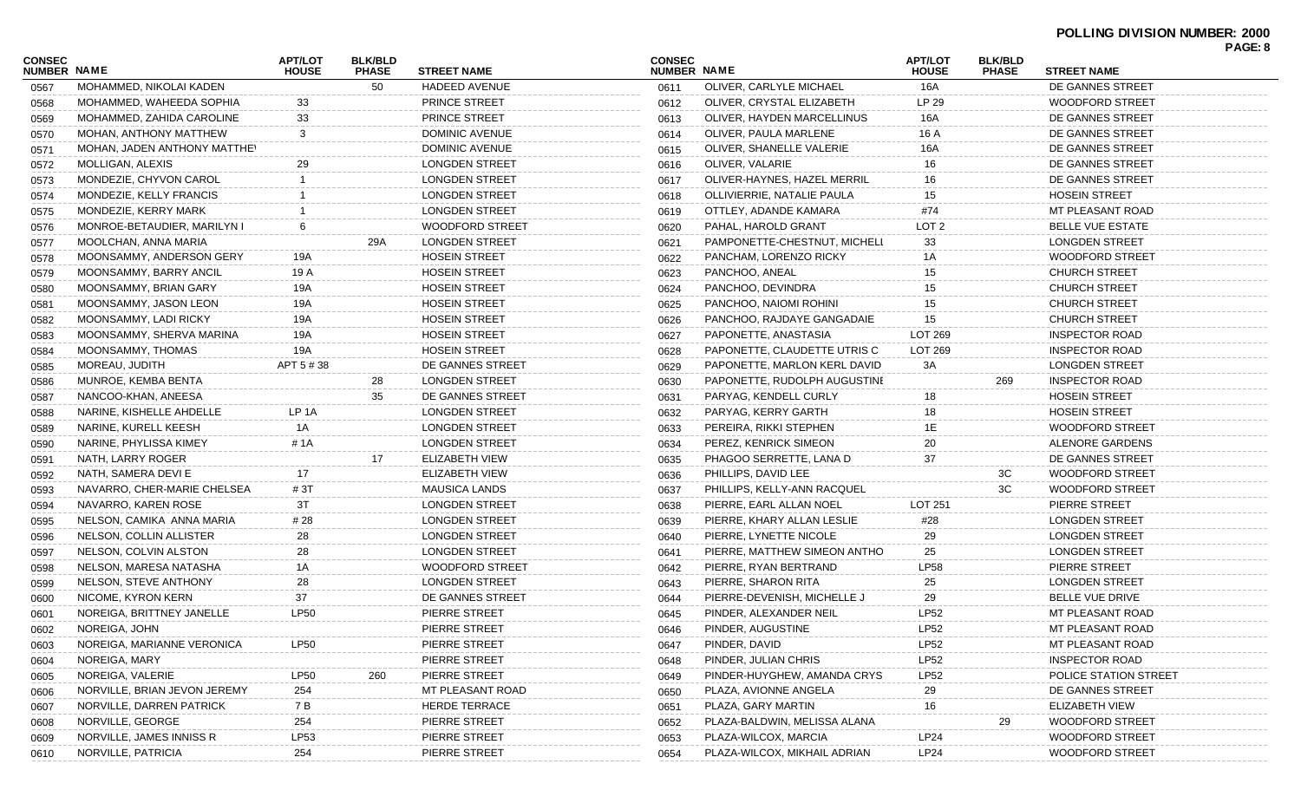|                              |                              |                                |                                |                        |                                     |                              |                                |                                |                              | PAGE: 8 |
|------------------------------|------------------------------|--------------------------------|--------------------------------|------------------------|-------------------------------------|------------------------------|--------------------------------|--------------------------------|------------------------------|---------|
| CONSEC<br><b>NUMBER NAME</b> |                              | <b>APT/LOT</b><br><b>HOUSE</b> | <b>BLK/BLD</b><br><b>PHASE</b> | <b>STREET NAME</b>     | <b>CONSEC</b><br><b>NUMBER NAME</b> |                              | <b>APT/LOT</b><br><b>HOUSE</b> | <b>BLK/BLD</b><br><b>PHASE</b> | <b>STREET NAME</b>           |         |
| 0567                         | MOHAMMED, NIKOLAI KADEN      |                                | 50                             | <b>HADEED AVENUE</b>   | 0611                                | OLIVER, CARLYLE MICHAEL      | 16A                            |                                | DE GANNES STREET             |         |
| 0568                         | MOHAMMED, WAHEEDA SOPHIA     | 33                             |                                | <b>PRINCE STREET</b>   | 0612                                | OLIVER, CRYSTAL ELIZABETH    | LP 29                          |                                | WOODFORD STREET              |         |
| 0569                         | MOHAMMED, ZAHIDA CAROLINE    | 33                             |                                | <b>PRINCE STREET</b>   | 0613                                | OLIVER, HAYDEN MARCELLINUS   | 16A                            |                                | DE GANNES STREET             |         |
| 0570                         | MOHAN, ANTHONY MATTHEW       | 3                              |                                | DOMINIC AVENUE         | 0614                                | OLIVER, PAULA MARLENE        | 16 A                           |                                | DE GANNES STREET             |         |
| 0571                         | MOHAN, JADEN ANTHONY MATTHEY |                                |                                | DOMINIC AVENUE         | 0615                                | OLIVER, SHANELLE VALERIE     | 16A                            |                                | DE GANNES STREET             |         |
| 0572                         | MOLLIGAN, ALEXIS             | 29                             |                                | <b>LONGDEN STREET</b>  | 0616                                | OLIVER, VALARIE              | 16                             |                                | DE GANNES STREET             |         |
| 0573                         | MONDEZIE, CHYVON CAROL       |                                |                                | <b>LONGDEN STREET</b>  | 0617                                | OLIVER-HAYNES, HAZEL MERRIL  | 16                             |                                | DE GANNES STREET             |         |
| 0574                         | MONDEZIE, KELLY FRANCIS      |                                |                                | <b>LONGDEN STREET</b>  | 0618                                | OLLIVIERRIE, NATALIE PAULA   | 15                             |                                | <b>HOSEIN STREET</b>         |         |
| 0575                         | MONDEZIE, KERRY MARK         |                                |                                | <b>LONGDEN STREET</b>  | 0619                                | OTTLEY, ADANDE KAMARA        | #74                            |                                | MT PLEASANT ROAD             |         |
| 0576                         | MONROE-BETAUDIER, MARILYN I  | 6                              |                                | <b>WOODFORD STREET</b> | 0620                                | PAHAL, HAROLD GRANT          | LOT <sub>2</sub>               |                                | <b>BELLE VUE ESTATE</b>      |         |
| 0577                         | MOOLCHAN, ANNA MARIA         |                                | 29A                            | <b>LONGDEN STREET</b>  | 0621                                | PAMPONETTE-CHESTNUT, MICHELL | 33                             |                                | <b>LONGDEN STREET</b>        |         |
| 0578                         | MOONSAMMY, ANDERSON GERY     | 19A                            |                                | <b>HOSEIN STREET</b>   | 0622                                | PANCHAM, LORENZO RICKY       | 1A                             |                                | <b>WOODFORD STREET</b>       |         |
| 0579                         | MOONSAMMY, BARRY ANCIL       | 19 A                           |                                | <b>HOSEIN STREET</b>   | 0623                                | PANCHOO, ANEAL               | 15                             |                                | <b>CHURCH STREET</b>         |         |
| 0580                         | MOONSAMMY, BRIAN GARY        | 19A                            |                                | <b>HOSEIN STREET</b>   | 0624                                | PANCHOO, DEVINDRA            | 15                             |                                | <b>CHURCH STREET</b>         |         |
| 0581                         | MOONSAMMY, JASON LEON        | 19A                            |                                | <b>HOSEIN STREET</b>   | 0625                                | PANCHOO, NAIOMI ROHINI       | 15                             |                                | <b>CHURCH STREET</b>         |         |
| 0582                         | MOONSAMMY, LADI RICKY        | 19A                            |                                | <b>HOSEIN STREET</b>   | 0626                                | PANCHOO, RAJDAYE GANGADAIE   | 15                             |                                | <b>CHURCH STREET</b>         |         |
| 0583                         | MOONSAMMY, SHERVA MARINA     | 19A                            |                                | <b>HOSEIN STREET</b>   | 0627                                | PAPONETTE, ANASTASIA         | LOT 269                        |                                | <b>INSPECTOR ROAD</b>        |         |
| 0584                         | MOONSAMMY, THOMAS            | 19A                            |                                | HOSEIN STREET          | 0628                                | PAPONETTE, CLAUDETTE UTRIS C | <b>LOT 269</b>                 |                                | <b>INSPECTOR ROAD</b>        |         |
| 0585                         | MOREAU, JUDITH               | APT 5 # 38                     |                                | DE GANNES STREET       | 0629                                | PAPONETTE, MARLON KERL DAVID | 3A                             |                                | <b>LONGDEN STREET</b>        |         |
| 0586                         | MUNROE, KEMBA BENTA          |                                | 28                             | <b>LONGDEN STREET</b>  | 0630                                | PAPONETTE, RUDOLPH AUGUSTINE |                                | 269                            | <b>INSPECTOR ROAD</b>        |         |
| 0587                         | NANCOO-KHAN, ANEESA          |                                | 35                             | DE GANNES STREET       | 0631                                | PARYAG, KENDELL CURLY        | 18                             |                                | <b>HOSEIN STREET</b>         |         |
| 0588                         | NARINE, KISHELLE AHDELLE     | LP 1A                          |                                | <b>LONGDEN STREET</b>  | 0632                                | PARYAG, KERRY GARTH          | 18                             |                                | <b>HOSEIN STREET</b>         |         |
| 0589                         | NARINE, KURELL KEESH         | 1A                             |                                | <b>LONGDEN STREET</b>  | 0633                                | PEREIRA, RIKKI STEPHEN       | 1E                             |                                | <b>WOODFORD STREET</b>       |         |
| 0590                         | NARINE, PHYLISSA KIMEY       | # 1A                           |                                | <b>LONGDEN STREET</b>  | 0634                                | PEREZ, KENRICK SIMEON        | 20                             |                                | ALENORE GARDENS              |         |
| 0591                         | NATH, LARRY ROGER            |                                | 17                             | ELIZABETH VIEW         | 0635                                | PHAGOO SERRETTE, LANA D      | 37                             |                                | DE GANNES STREET             |         |
| 0592                         | NATH, SAMERA DEVI E          | 17                             |                                | ELIZABETH VIEW         | 0636                                | PHILLIPS, DAVID LEE          |                                | 3C                             | <b>WOODFORD STREET</b>       |         |
| 0593                         | NAVARRO, CHER-MARIE CHELSEA  | #3T                            |                                | <b>MAUSICA LANDS</b>   | 0637                                | PHILLIPS, KELLY-ANN RACQUEL  |                                | 3C                             | <b>WOODFORD STREET</b>       |         |
| 0594                         | NAVARRO, KAREN ROSE          | 3T                             |                                | <b>LONGDEN STREET</b>  | 0638                                | PIERRE, EARL ALLAN NOEL      | LOT 251                        |                                | PIERRE STREET                |         |
| 0595                         | NELSON, CAMIKA ANNA MARIA    | # 28                           |                                | <b>LONGDEN STREET</b>  | 0639                                | PIERRE, KHARY ALLAN LESLIE   | #28                            |                                | <b>LONGDEN STREET</b>        |         |
| 0596                         | NELSON, COLLIN ALLISTER      | 28                             |                                | <b>LONGDEN STREET</b>  | 0640                                | PIERRE, LYNETTE NICOLE       | 29                             |                                | <b>LONGDEN STREET</b>        |         |
| 0597                         | NELSON, COLVIN ALSTON        | 28                             |                                | <b>LONGDEN STREET</b>  | 0641                                | PIERRE, MATTHEW SIMEON ANTHO | 25                             |                                | <b>LONGDEN STREET</b>        |         |
| 0598                         | NELSON, MARESA NATASHA       | 1A                             |                                | WOODFORD STREET        | 0642                                | PIERRE, RYAN BERTRAND        | <b>LP58</b>                    |                                | PIERRE STREET                |         |
| 0599                         | NELSON, STEVE ANTHONY        | 28                             |                                | <b>LONGDEN STREET</b>  | 0643                                | PIERRE, SHARON RITA          | 25                             |                                | <b>LONGDEN STREET</b>        |         |
| 0600                         | NICOME, KYRON KERN           | 37                             |                                | DE GANNES STREET       | 0644                                | PIERRE-DEVENISH, MICHELLE J  | 29                             |                                | <b>BELLE VUE DRIVE</b>       |         |
| 0601                         | NOREIGA, BRITTNEY JANELLE    | LP50                           |                                | PIERRE STREET          | 0645                                | PINDER, ALEXANDER NEIL       | LP52                           |                                | MT PLEASANT ROAD             |         |
| 0602                         | NOREIGA, JOHN                |                                |                                | PIERRE STREET          | 0646                                | PINDER, AUGUSTINE            | <b>LP52</b>                    |                                | MT PLEASANT ROAD             |         |
| 0603                         | NOREIGA, MARIANNE VERONICA   | <b>LP50</b>                    |                                | PIERRE STREET          | 0647                                | PINDER, DAVID                | <b>LP52</b>                    |                                | MT PLEASANT ROAD             |         |
| 0604                         | NOREIGA, MARY                |                                |                                | PIERRE STREET          | 0648                                | PINDER, JULIAN CHRIS         | LP52                           |                                | <b>INSPECTOR ROAD</b>        |         |
| 0605                         | NOREIGA, VALERIE             | LP50                           | 260                            | PIERRE STREET          | 0649                                | PINDER-HUYGHEW, AMANDA CRYS  | <b>LP52</b>                    |                                | <b>POLICE STATION STREET</b> |         |
| 0606                         | NORVILLE, BRIAN JEVON JEREMY | 254                            |                                | MT PLEASANT ROAD       | 0650                                | PLAZA, AVIONNE ANGELA        | 29                             |                                | DE GANNES STREET             |         |
| 0607                         | NORVILLE, DARREN PATRICK     | 7 B                            |                                | <b>HERDE TERRACE</b>   | 0651                                | PLAZA, GARY MARTIN           | 16                             |                                | ELIZABETH VIEW               |         |
| 0608                         | NORVILLE, GEORGE             | 254                            |                                | PIERRE STREET          | 0652                                | PLAZA-BALDWIN, MELISSA ALANA |                                | 29                             | <b>WOODFORD STREET</b>       |         |
| 0609                         | NORVILLE, JAMES INNISS R     | LP53                           |                                | PIERRE STREET          | 0653                                | PLAZA-WILCOX, MARCIA         | LP24                           |                                | <b>WOODFORD STREET</b>       |         |
| 0610                         | NORVILLE, PATRICIA           | 254                            |                                | PIERRE STREET          | 0654                                | PLAZA-WILCOX, MIKHAIL ADRIAN | LP24                           |                                | <b>WOODFORD STREET</b>       |         |
|                              |                              |                                |                                |                        |                                     |                              |                                |                                |                              |         |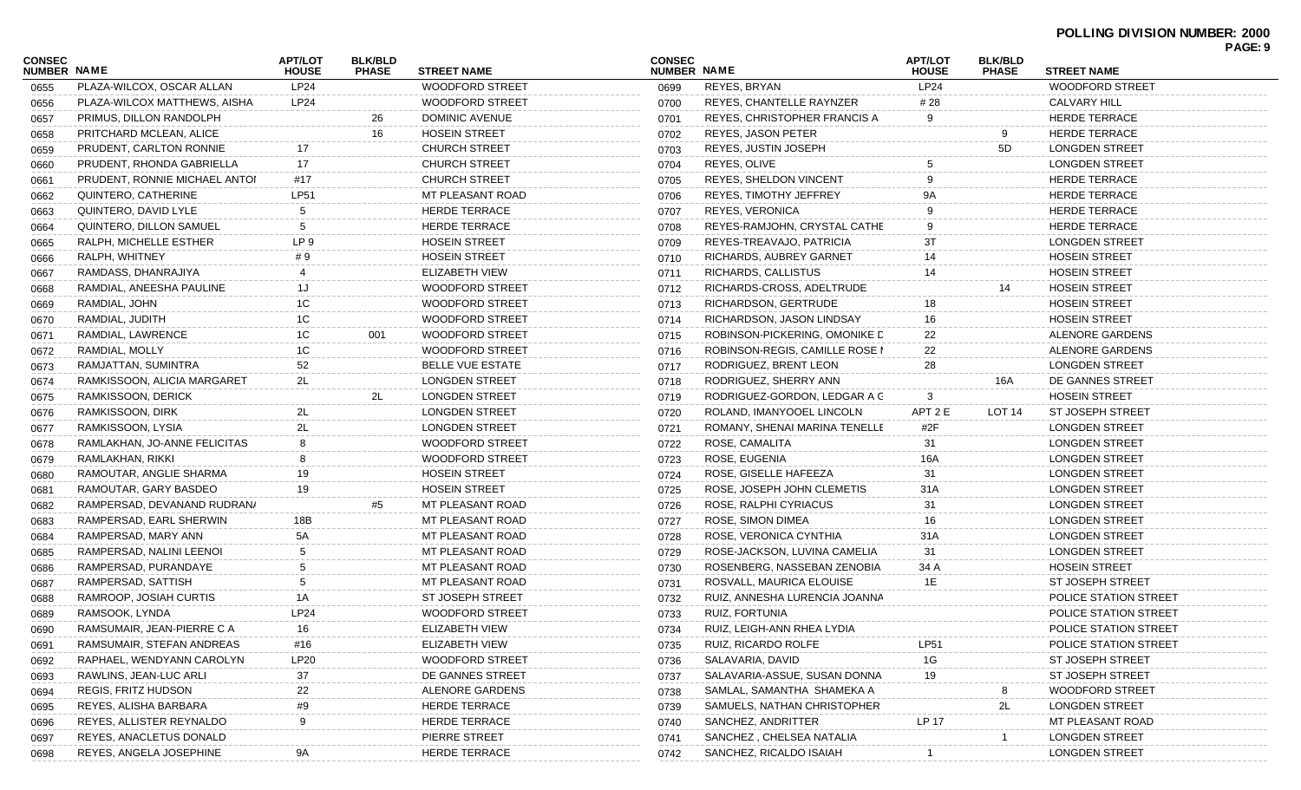## **POLLING DIVISION NUMBER: 2000 PAGE: 9**

|                                     |                               |                                |                                |                         |                              |                                     |                                |                                |                              | . nul. J |
|-------------------------------------|-------------------------------|--------------------------------|--------------------------------|-------------------------|------------------------------|-------------------------------------|--------------------------------|--------------------------------|------------------------------|----------|
| <b>CONSEC</b><br><b>NUMBER NAME</b> |                               | <b>APT/LOT</b><br><b>HOUSE</b> | <b>BLK/BLD</b><br><b>PHASE</b> | <b>STREET NAME</b>      | <b>CONSEC</b><br>NUMBER NAME |                                     | <b>APT/LOT</b><br><b>HOUSE</b> | <b>BLK/BLD</b><br><b>PHASE</b> | <b>STREET NAME</b>           |          |
| 0655                                | PLAZA-WILCOX, OSCAR ALLAN     | LP24                           |                                | <b>WOODFORD STREET</b>  | 0699                         | REYES, BRYAN                        | LP24                           |                                | <b>WOODFORD STREET</b>       |          |
| 0656                                | PLAZA-WILCOX MATTHEWS, AISHA  | LP24                           |                                | <b>WOODFORD STREET</b>  | 0700                         | REYES, CHANTELLE RAYNZER            | # 28                           |                                | <b>CALVARY HILL</b>          |          |
| 0657                                | PRIMUS. DILLON RANDOLPH       |                                | 26                             | DOMINIC AVENUE          | 0701                         | <b>REYES, CHRISTOPHER FRANCIS A</b> |                                |                                | <b>HERDE TERRACE</b>         |          |
| 0658                                | PRITCHARD MCLEAN, ALICE       |                                | 16                             | <b>HOSEIN STREET</b>    | 0702                         | REYES, JASON PETER                  |                                | 9                              | <b>HERDE TERRACE</b>         |          |
| 0659                                | PRUDENT, CARLTON RONNIE       | 17                             |                                | <b>CHURCH STREET</b>    | 0703                         | REYES, JUSTIN JOSEPH                |                                | 5D                             | <b>LONGDEN STREET</b>        |          |
| 0660                                | PRUDENT, RHONDA GABRIELLA     | 17                             |                                | <b>CHURCH STREET</b>    | 0704                         | REYES, OLIVE                        |                                |                                | <b>LONGDEN STREET</b>        |          |
| 0661                                | PRUDENT, RONNIE MICHAEL ANTOI | #17                            |                                | <b>CHURCH STREET</b>    | 0705                         | <b>REYES, SHELDON VINCENT</b>       |                                |                                | <b>HERDE TERRACE</b>         |          |
| 0662                                | QUINTERO, CATHERINE           | <b>LP51</b>                    |                                | MT PLEASANT ROAD        | 0706                         | REYES, TIMOTHY JEFFREY              |                                |                                | <b>HERDE TERRACE</b>         |          |
| 0663                                | QUINTERO, DAVID LYLE          |                                |                                | <b>HERDE TERRACE</b>    | 0707                         | <b>REYES, VERONICA</b>              |                                |                                | <b>HERDE TERRACE</b>         |          |
| 0664                                | QUINTERO, DILLON SAMUEL       | -5                             |                                | <b>HERDE TERRACE</b>    | 0708                         | REYES-RAMJOHN, CRYSTAL CATHE        |                                |                                | <b>HERDE TERRACE</b>         |          |
| 0665                                | RALPH, MICHELLE ESTHER        | LP <sub>9</sub>                |                                | <b>HOSEIN STREET</b>    | 0709                         | REYES-TREAVAJO, PATRICIA            | 31                             |                                | <b>LONGDEN STREET</b>        |          |
| 0666                                | RALPH, WHITNEY                | # 9                            |                                | <b>HOSEIN STREET</b>    | 0710                         | RICHARDS, AUBREY GARNET             | 14                             |                                | <b>HOSEIN STREET</b>         |          |
| 0667                                | RAMDASS, DHANRAJIYA           |                                |                                | ELIZABETH VIEW          | 0711                         | RICHARDS, CALLISTUS                 | 14                             |                                | <b>HOSEIN STREET</b>         |          |
| 0668                                | RAMDIAL, ANEESHA PAULINE      | 1J                             |                                | <b>WOODFORD STREET</b>  | 0712                         | RICHARDS-CROSS, ADELTRUDE           |                                | 14                             | <b>HOSEIN STREET</b>         |          |
| 0669                                | RAMDIAL, JOHN                 | 1C                             |                                | <b>WOODFORD STREET</b>  | 0713                         | RICHARDSON, GERTRUDE                | 18                             |                                | <b>HOSEIN STREET</b>         |          |
| 0670                                | RAMDIAL, JUDITH               | 1C                             |                                | <b>WOODFORD STREET</b>  | 0714                         | RICHARDSON, JASON LINDSAY           | 16                             |                                | <b>HOSEIN STREET</b>         |          |
| 0671                                | RAMDIAL, LAWRENCE             | 1C                             | 001                            | <b>WOODFORD STREET</b>  | 0715                         | ROBINSON-PICKERING, OMONIKE D       | 22                             |                                | ALENORE GARDENS              |          |
| 0672                                | RAMDIAL, MOLLY                | 1C                             |                                | <b>WOODFORD STREET</b>  | 0716                         | ROBINSON-REGIS, CAMILLE ROSE I      | 22                             |                                | ALENORE GARDENS              |          |
| 0673                                | RAMJATTAN, SUMINTRA           | 52                             |                                | <b>BELLE VUE ESTATE</b> | 0717                         | RODRIGUEZ, BRENT LEON               | 28                             |                                | <b>LONGDEN STREET</b>        |          |
| 0674                                | RAMKISSOON, ALICIA MARGARET   | 2L                             |                                | <b>LONGDEN STREET</b>   | 0718                         | RODRIGUEZ, SHERRY ANN               |                                | 16A                            | DE GANNES STREET             |          |
| 0675                                | RAMKISSOON, DERICK            |                                | 2L                             | <b>LONGDEN STREET</b>   | 0719                         | RODRIGUEZ-GORDON, LEDGAR A C        | 3                              |                                | <b>HOSEIN STREET</b>         |          |
| 0676                                | RAMKISSOON, DIRK              | 2L                             |                                | <b>LONGDEN STREET</b>   | 0720                         | ROLAND, IMANYOOEL LINCOLN           | APT 2 E                        | LOT 14                         | ST JOSEPH STREET             |          |
| 0677                                | RAMKISSOON, LYSIA             | 2L                             |                                | <b>LONGDEN STREET</b>   | 0721                         | ROMANY, SHENAI MARINA TENELLE       | #2 $F$                         |                                | <b>LONGDEN STREET</b>        |          |
| 0678                                | RAMLAKHAN, JO-ANNE FELICITAS  | 8                              |                                | <b>WOODFORD STREET</b>  | 0722                         | ROSE, CAMALITA                      | 31                             |                                | <b>LONGDEN STREET</b>        |          |
| 0679                                | RAMLAKHAN, RIKKI              |                                |                                | <b>WOODFORD STREET</b>  | 0723                         | ROSE, EUGENIA                       | 16A                            |                                | <b>LONGDEN STREET</b>        |          |
| 0680                                | RAMOUTAR, ANGLIE SHARMA       | 19                             |                                | <b>HOSEIN STREET</b>    | 0724                         | ROSE, GISELLE HAFEEZA               | 31                             |                                | <b>LONGDEN STREET</b>        |          |
| 0681                                | RAMOUTAR, GARY BASDEO         | 19                             |                                | <b>HOSEIN STREET</b>    | 0725                         | ROSE, JOSEPH JOHN CLEMETIS          | 31A                            |                                | <b>LONGDEN STREET</b>        |          |
| 0682                                | RAMPERSAD, DEVANAND RUDRAN/   |                                |                                | MT PLEASANT ROAD        | 0726                         | ROSE, RALPHI CYRIACUS               | 31                             |                                | <b>LONGDEN STREET</b>        |          |
| 0683                                | RAMPERSAD, EARL SHERWIN       | 18B                            |                                | MT PLEASANT ROAD        | 0727                         | ROSE, SIMON DIMEA                   | 16                             |                                | <b>LONGDEN STREET</b>        |          |
| 0684                                | RAMPERSAD, MARY ANN           | 5A                             |                                | MT PLEASANT ROAD        | 0728                         | ROSE, VERONICA CYNTHIA              | 31A                            |                                | <b>LONGDEN STREET</b>        |          |
| 0685                                | RAMPERSAD, NALINI LEENOI      |                                |                                | MT PLEASANT ROAD        | 0729                         | ROSE-JACKSON, LUVINA CAMELIA        | 31                             |                                | <b>LONGDEN STREET</b>        |          |
| 0686                                | RAMPERSAD, PURANDAYE          |                                |                                | MT PLEASANT ROAD        | 0730                         | ROSENBERG, NASSEBAN ZENOBIA         | 34 A                           |                                | <b>HOSEIN STREET</b>         |          |
| 0687                                | RAMPERSAD, SATTISH            |                                |                                | MT PLEASANT ROAD        | 0731                         | ROSVALL, MAURICA ELOUISE            | 1E                             |                                | <b>ST JOSEPH STREET</b>      |          |
| 0688                                | RAMROOP, JOSIAH CURTIS        | 1A                             |                                | ST JOSEPH STREET        | 0732                         | RUIZ, ANNESHA LURENCIA JOANNA       |                                |                                | POLICE STATION STREET        |          |
| 0689                                | RAMSOOK, LYNDA                | LP24                           |                                | <b>WOODFORD STREET</b>  | 0733                         | RUIZ, FORTUNIA                      |                                |                                | <b>POLICE STATION STREET</b> |          |
| 0690                                | RAMSUMAIR, JEAN-PIERRE C A    |                                |                                | ELIZABETH VIEW          | 0734                         | RUIZ, LEIGH-ANN RHEA LYDIA          |                                |                                | POLICE STATION STREET        |          |
| 0691                                | RAMSUMAIR, STEFAN ANDREAS     | #16                            |                                | ELIZABETH VIEW          | 0735                         | RUIZ, RICARDO ROLFE                 | LP51                           |                                | POLICE STATION STREET        |          |
| 0692                                | RAPHAEL, WENDYANN CAROLYN     | LP20                           |                                | <b>WOODFORD STREET</b>  | 0736                         | SALAVARIA, DAVID                    | 1G                             |                                | ST JOSEPH STREET             |          |
| 0693                                | RAWLINS, JEAN-LUC ARLI        | 37                             |                                | DE GANNES STREET        | 0737                         | SALAVARIA-ASSUE, SUSAN DONNA        | 19                             |                                | <b>ST JOSEPH STREET</b>      |          |
| 0694                                | <b>REGIS, FRITZ HUDSON</b>    | 22                             |                                | ALENORE GARDENS         | 0738                         | SAMLAL, SAMANTHA SHAMEKA A          |                                |                                | <b>WOODFORD STREET</b>       |          |
| 0695                                | REYES, ALISHA BARBARA         | #9                             |                                | <b>HERDE TERRACE</b>    | 0739                         | SAMUELS, NATHAN CHRISTOPHER         |                                | 2L                             | <b>LONGDEN STREET</b>        |          |
| 0696                                | REYES, ALLISTER REYNALDO      | 9                              |                                | <b>HERDE TERRACE</b>    | 0740                         | SANCHEZ, ANDRITTER                  | LP 17                          |                                | MT PLEASANT ROAD             |          |
| 0697                                | REYES, ANACLETUS DONALD       |                                |                                | PIERRE STREET           | 0741                         | SANCHEZ, CHELSEA NATALIA            |                                |                                | <b>LONGDEN STREET</b>        |          |
| 0698                                | REYES, ANGELA JOSEPHINE       | 9А                             |                                | <b>HERDE TERRACE</b>    | 0742                         | SANCHEZ, RICALDO ISAIAH             |                                |                                | <b>LONGDEN STREET</b>        |          |
|                                     |                               |                                |                                |                         |                              |                                     |                                |                                |                              |          |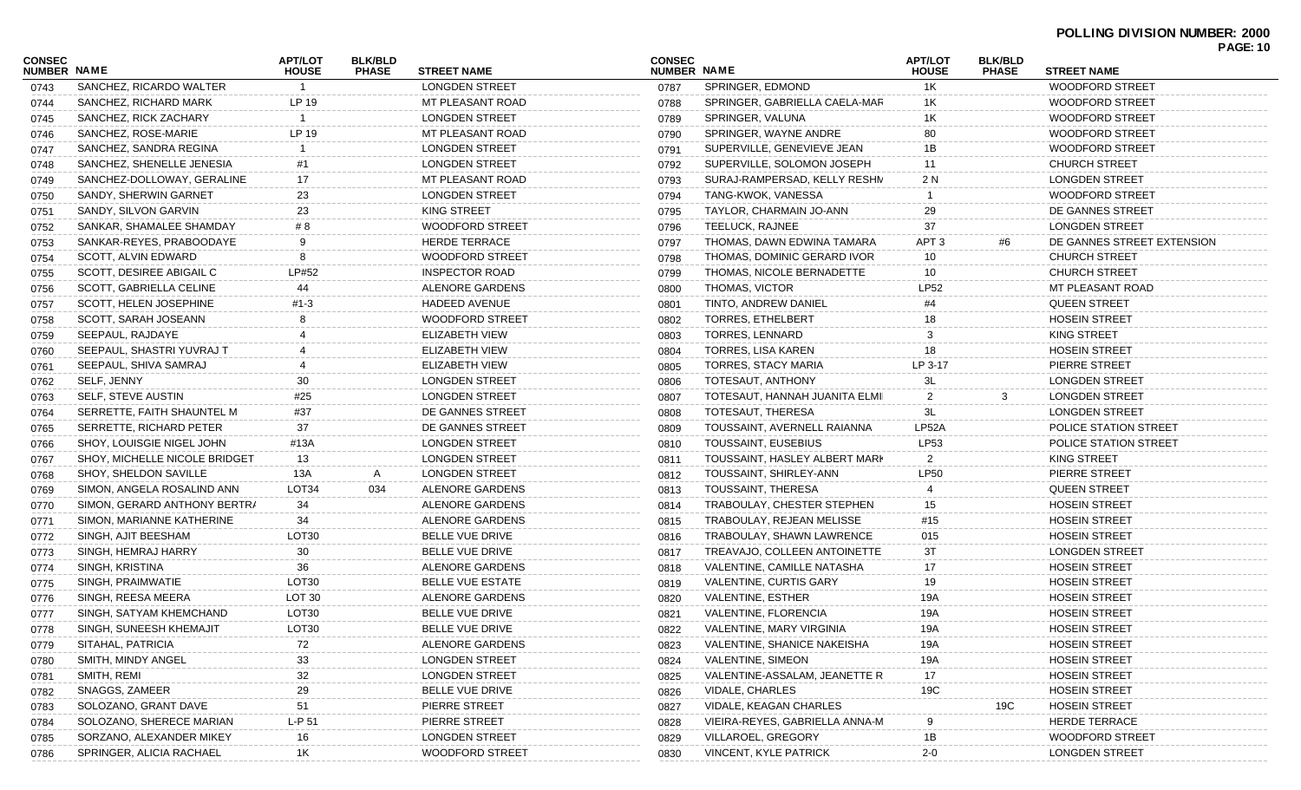## **POLLING DIVISION NUMBER: 2000**

| CONSEC<br><b>NUMBER NAME</b> |                               | APT/LOT<br><b>HOUSE</b> | <b>BLK/BLD</b><br><b>PHASE</b> | <b>STREET NAME</b>      | <b>CONSEC</b><br>NUMBER NAME |                                | APT/LOT<br><b>HOUSE</b> | <b>BLK/BLD</b><br><b>PHASE</b> | <b>PAGE: 10</b><br><b>STREET NAME</b> |
|------------------------------|-------------------------------|-------------------------|--------------------------------|-------------------------|------------------------------|--------------------------------|-------------------------|--------------------------------|---------------------------------------|
| 0743                         | SANCHEZ, RICARDO WALTER       |                         |                                | <b>LONGDEN STREET</b>   | 0787                         | SPRINGER, EDMOND               | 1K                      |                                | <b>WOODFORD STREET</b>                |
| 0744                         | SANCHEZ, RICHARD MARK         | LP 19                   |                                | MT PLEASANT ROAD        | 0788                         | SPRINGER, GABRIELLA CAELA-MAR  | 1K                      |                                | <b>WOODFORD STREET</b>                |
| 0745                         | SANCHEZ, RICK ZACHARY         |                         |                                | <b>LONGDEN STREET</b>   | 0789                         | SPRINGER, VALUNA               | 1K                      |                                | <b>WOODFORD STREET</b>                |
| 0746                         | SANCHEZ, ROSE-MARIE           | LP 19                   |                                | MT PLEASANT ROAD        | 0790                         | SPRINGER, WAYNE ANDRE          | 80                      |                                | WOODFORD STREET                       |
| 0747                         | SANCHEZ, SANDRA REGINA        |                         |                                | <b>LONGDEN STREET</b>   | 0791                         | SUPERVILLE, GENEVIEVE JEAN     | 1B                      |                                | <b>WOODFORD STREET</b>                |
| 0748                         | SANCHEZ, SHENELLE JENESIA     | #1                      |                                | <b>LONGDEN STREET</b>   | 0792                         | SUPERVILLE, SOLOMON JOSEPH     | 11                      |                                | <b>CHURCH STREET</b>                  |
| 0749                         | SANCHEZ-DOLLOWAY, GERALINE    | 17                      |                                | MT PLEASANT ROAD        | 0793                         | SURAJ-RAMPERSAD, KELLY RESHN   | 2 N                     |                                | <b>LONGDEN STREET</b>                 |
| 0750                         | SANDY, SHERWIN GARNET         | 23                      |                                | <b>LONGDEN STREET</b>   | 0794                         | TANG-KWOK, VANESSA             |                         |                                | <b>WOODFORD STREET</b>                |
| 0751                         | SANDY, SILVON GARVIN          | 23                      |                                | KING STREET             | 0795                         | TAYLOR, CHARMAIN JO-ANN        | 29                      |                                | DE GANNES STREET                      |
| 0752                         | SANKAR, SHAMALEE SHAMDAY      | # 8                     |                                | <b>WOODFORD STREET</b>  | 0796                         | TEELUCK, RAJNEE                | 37                      |                                | LONGDEN STREET                        |
| 0753                         | SANKAR-REYES, PRABOODAYE      | 9                       |                                | <b>HERDE TERRACE</b>    | 0797                         | THOMAS, DAWN EDWINA TAMARA     | APT <sub>3</sub>        | #6                             | DE GANNES STREET EXTENSION            |
| 0754                         | SCOTT, ALVIN EDWARD           | 8                       |                                | WOODFORD STREET         | 0798                         | THOMAS, DOMINIC GERARD IVOR    | 10                      |                                | <b>CHURCH STREET</b>                  |
| 0755                         | SCOTT, DESIREE ABIGAIL C      | LP#52                   |                                | <b>INSPECTOR ROAD</b>   | 0799                         | THOMAS, NICOLE BERNADETTE      | 10                      |                                | <b>CHURCH STREET</b>                  |
| 0756                         | SCOTT, GABRIELLA CELINE       | 44                      |                                | ALENORE GARDENS         | 0800                         | THOMAS, VICTOR                 | <b>LP52</b>             |                                | MT PLEASANT ROAD                      |
| 0757                         | SCOTT, HELEN JOSEPHINE        | $#1-3$                  |                                | HADEED AVENUE           | 0801                         | TINTO, ANDREW DANIEL           | #4                      |                                | <b>QUEEN STREET</b>                   |
| 0758                         | SCOTT, SARAH JOSEANN          |                         |                                | WOODFORD STREET         | 0802                         | <b>TORRES, ETHELBERT</b>       | 18                      |                                | <b>HOSEIN STREET</b>                  |
| 0759                         | SEEPAUL, RAJDAYE              |                         |                                | <b>ELIZABETH VIEW</b>   | 0803                         | <b>TORRES, LENNARD</b>         |                         |                                | <b>KING STREET</b>                    |
| 0760                         | SEEPAUL, SHASTRI YUVRAJ T     |                         |                                | ELIZABETH VIEW          | 0804                         | TORRES, LISA KAREN             | 18                      |                                | <b>HOSEIN STREET</b>                  |
| 0761                         | SEEPAUL, SHIVA SAMRAJ         |                         |                                | ELIZABETH VIEW          | 0805                         | TORRES, STACY MARIA            | LP 3-17                 |                                | PIERRE STREET                         |
| 0762                         | SELF, JENNY                   | 30                      |                                | <b>LONGDEN STREET</b>   | 0806                         | TOTESAUT, ANTHONY              | 3L                      |                                | <b>LONGDEN STREET</b>                 |
| 0763                         | <b>SELF, STEVE AUSTIN</b>     | #25                     |                                | <b>LONGDEN STREET</b>   | 0807                         | TOTESAUT, HANNAH JUANITA ELMII | 2                       | 3                              | <b>LONGDEN STREET</b>                 |
| 0764                         | SERRETTE, FAITH SHAUNTEL M    | #37                     |                                | DE GANNES STREET        | 0808                         | TOTESAUT, THERESA              | 3L                      |                                | LONGDEN STREET                        |
| 0765                         | SERRETTE, RICHARD PETER       | 37                      |                                | DE GANNES STREET        | 0809                         | TOUSSAINT, AVERNELL RAIANNA    | LP52A                   |                                | POLICE STATION STREET                 |
| 0766                         | SHOY, LOUISGIE NIGEL JOHN     | #13A                    |                                | LONGDEN STREET          | 0810                         | TOUSSAINT, EUSEBIUS            | <b>LP53</b>             |                                | POLICE STATION STREET                 |
| 0767                         | SHOY, MICHELLE NICOLE BRIDGET | 13                      |                                | <b>LONGDEN STREET</b>   | 0811                         | TOUSSAINT, HASLEY ALBERT MARK  | 2                       |                                | <b>KING STREET</b>                    |
| 0768                         | SHOY, SHELDON SAVILLE         | 13A                     | A                              | <b>LONGDEN STREET</b>   | 0812                         | TOUSSAINT, SHIRLEY-ANN         | <b>LP50</b>             |                                | PIERRE STREET                         |
| 0769                         | SIMON, ANGELA ROSALIND ANN    | LOT34                   | 034                            | ALENORE GARDENS         | 0813                         | TOUSSAINT, THERESA             |                         |                                | <b>QUEEN STREET</b>                   |
| 0770                         | SIMON, GERARD ANTHONY BERTRA  | 34                      |                                | ALENORE GARDENS         | 0814                         | TRABOULAY, CHESTER STEPHEN     | 15                      |                                | <b>HOSEIN STREET</b>                  |
| 0771                         | SIMON, MARIANNE KATHERINE     | 34                      |                                | ALENORE GARDENS         | 0815                         | TRABOULAY, REJEAN MELISSE      | #15                     |                                | <b>HOSEIN STREET</b>                  |
| 0772                         | SINGH, AJIT BEESHAM           | LOT30                   |                                | BELLE VUE DRIVE         | 0816                         | TRABOULAY, SHAWN LAWRENCE      | 015                     |                                | <b>HOSEIN STREET</b>                  |
| 0773                         | SINGH, HEMRAJ HARRY           | 30                      |                                | BELLE VUE DRIVE         | 0817                         | TREAVAJO, COLLEEN ANTOINETTE   | 3T                      |                                | <b>LONGDEN STREET</b>                 |
| 0774                         | SINGH, KRISTINA               | 36                      |                                | ALENORE GARDENS         | 0818                         | VALENTINE, CAMILLE NATASHA     | 17                      |                                | <b>HOSEIN STREET</b>                  |
| 0775                         | SINGH, PRAIMWATIE             | LOT <sub>30</sub>       |                                | <b>BELLE VUE ESTATE</b> | 0819                         | VALENTINE, CURTIS GARY         | 19                      |                                | <b>HOSEIN STREET</b>                  |
| 0776                         | SINGH, REESA MEERA            | LOT <sub>30</sub>       |                                | ALENORE GARDENS         | 0820                         | <b>VALENTINE, ESTHER</b>       | 19A                     |                                | <b>HOSEIN STREET</b>                  |
| 0777                         | SINGH, SATYAM KHEMCHAND       | LOT <sub>30</sub>       |                                | BELLE VUE DRIVE         | 0821                         | VALENTINE, FLORENCIA           | 19A                     |                                | <b>HOSEIN STREET</b>                  |
| 0778                         | SINGH, SUNEESH KHEMAJIT       | LOT30                   |                                | BELLE VUE DRIVE         | 0822                         | VALENTINE, MARY VIRGINIA       | 19A                     |                                | <b>HOSEIN STREET</b>                  |
| 0779                         | SITAHAL, PATRICIA             | 72                      |                                | ALENORE GARDENS         | 0823                         | VALENTINE, SHANICE NAKEISHA    | 19A                     |                                | <b>HOSEIN STREET</b>                  |
| 0780                         | SMITH, MINDY ANGEL            | $33\,$                  |                                | <b>LONGDEN STREET</b>   | 0824                         | VALENTINE, SIMEON              | 19A                     |                                | <b>HOSEIN STREET</b>                  |
| 0781                         | SMITH, REMI                   | 32                      |                                | <b>LONGDEN STREET</b>   | 0825                         | VALENTINE-ASSALAM, JEANETTE R  | 17                      |                                | <b>HOSEIN STREET</b>                  |
| 0782                         | SNAGGS, ZAMEER                | 29                      |                                | BELLE VUE DRIVE         | 0826                         | VIDALE, CHARLES                | 19C                     |                                | <b>HOSEIN STREET</b>                  |
| 0783                         | SOLOZANO, GRANT DAVE          | 51                      |                                | PIERRE STREET           | 0827                         | VIDALE, KEAGAN CHARLES         |                         | 19C                            | <b>HOSEIN STREET</b>                  |
| 0784                         | SOLOZANO, SHERECE MARIAN      | $L-P51$                 |                                | PIERRE STREET           | 0828                         | VIEIRA-REYES, GABRIELLA ANNA-M |                         |                                | <b>HERDE TERRACE</b>                  |
| 0785                         | SORZANO, ALEXANDER MIKEY      | 16                      |                                | <b>LONGDEN STREET</b>   | 0829                         | VILLAROEL, GREGORY             | 1B                      |                                | WOODFORD STREET                       |
| 0786                         | SPRINGER, ALICIA RACHAEL      | 1K                      |                                | WOODFORD STREET         | 0830                         | VINCENT, KYLE PATRICK          | $2 - 0$                 |                                | <b>LONGDEN STREET</b>                 |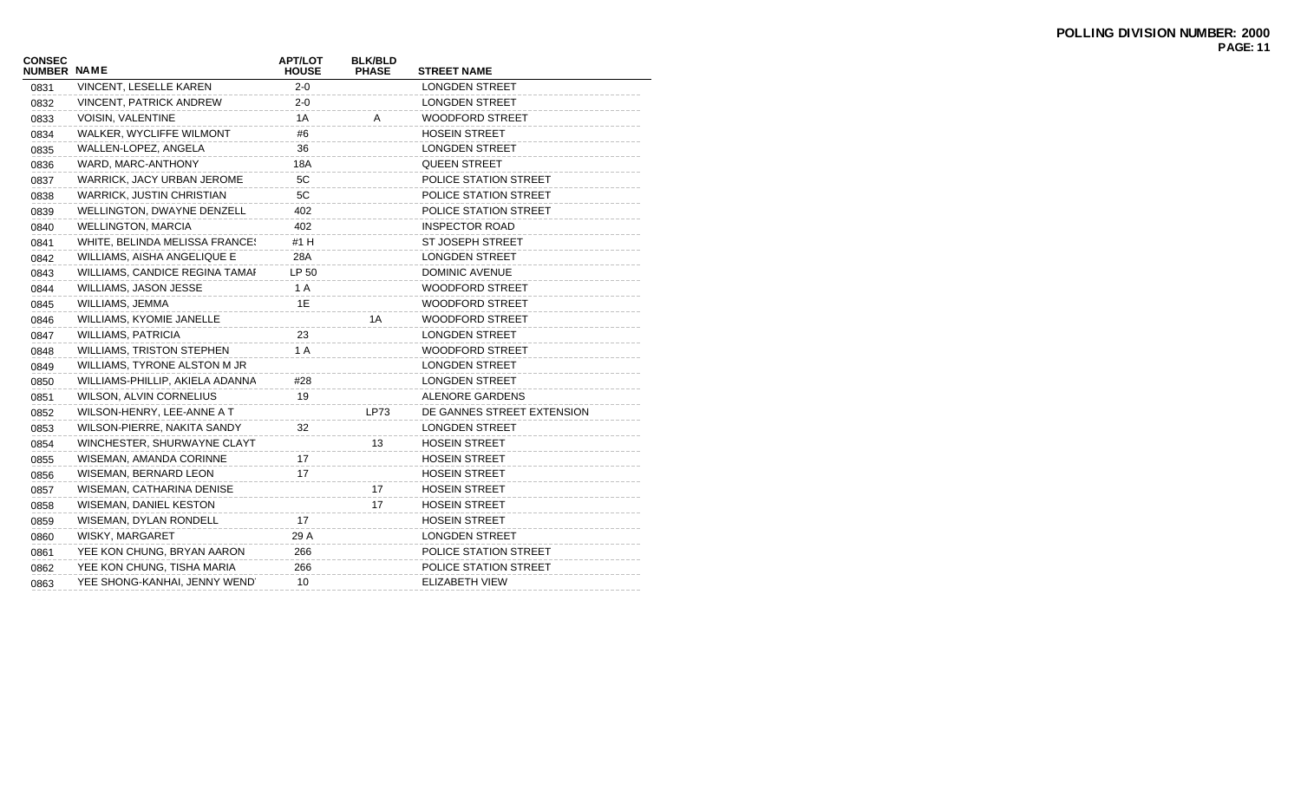| <b>CONSEC</b><br><b>NUMBER NAME</b> |                                  | <b>APT/LOT</b><br><b>HOUSE</b> | <b>BLK/BLD</b><br><b>PHASE</b> | <b>STREET NAME</b>         |
|-------------------------------------|----------------------------------|--------------------------------|--------------------------------|----------------------------|
| 0831                                | VINCENT, LESELLE KAREN           | $2 - 0$                        |                                | <b>LONGDEN STREET</b>      |
| 0832                                | <b>VINCENT, PATRICK ANDREW</b>   | $2 - 0$                        |                                | <b>LONGDEN STREET</b>      |
| 0833                                | <b>VOISIN, VALENTINE</b>         | 1A                             | Α                              | <b>WOODFORD STREET</b>     |
| 0834                                | WALKER, WYCLIFFE WILMONT         | #6                             |                                | <b>HOSEIN STREET</b>       |
| 0835                                | WALLEN-LOPEZ, ANGELA             | 36                             |                                | <b>LONGDEN STREET</b>      |
| 0836                                | WARD, MARC-ANTHONY               | 18A                            |                                | <b>QUEEN STREET</b>        |
| 0837                                | WARRICK, JACY URBAN JEROME       | 5C                             |                                | POLICE STATION STREET      |
| 0838                                | <b>WARRICK, JUSTIN CHRISTIAN</b> | 5C                             |                                | POLICE STATION STREET      |
| 0839                                | WELLINGTON, DWAYNE DENZELL       | 402                            |                                | POLICE STATION STREET      |
| 0840                                | <b>WELLINGTON, MARCIA</b>        | 402                            |                                | <b>INSPECTOR ROAD</b>      |
| 0841                                | WHITE, BELINDA MELISSA FRANCES   | #1 H                           |                                | ST JOSEPH STREET           |
| 0842                                | WILLIAMS, AISHA ANGELIQUE E      | 28A                            |                                | <b>LONGDEN STREET</b>      |
| 0843                                | WILLIAMS, CANDICE REGINA TAMAI   | LP 50                          |                                | <b>DOMINIC AVENUE</b>      |
| 0844                                | WILLIAMS, JASON JESSE            | 1 A                            |                                | <b>WOODFORD STREET</b>     |
| 0845                                | WILLIAMS, JEMMA                  | 1E                             |                                | <b>WOODFORD STREET</b>     |
| 0846                                | WILLIAMS, KYOMIE JANELLE         |                                | 1A                             | <b>WOODFORD STREET</b>     |
| 0847                                | <b>WILLIAMS, PATRICIA</b>        | 23                             |                                | LONGDEN STREET             |
| 0848                                | <b>WILLIAMS, TRISTON STEPHEN</b> | 1 A                            |                                | <b>WOODFORD STREET</b>     |
| 0849                                | WILLIAMS, TYRONE ALSTON M JR     |                                |                                | LONGDEN STREET             |
| 0850                                | WILLIAMS-PHILLIP, AKIELA ADANNA  | #28                            |                                | <b>LONGDEN STREET</b>      |
| 0851                                | WILSON, ALVIN CORNELIUS          | 19                             |                                | ALENORE GARDENS            |
| 0852                                | WILSON-HENRY, LEE-ANNE A T       |                                | <b>LP73</b>                    | DE GANNES STREET EXTENSION |
| 0853                                | WILSON-PIERRE, NAKITA SANDY      | 32                             |                                | LONGDEN STREET             |
| 0854                                | WINCHESTER, SHURWAYNE CLAYT      |                                | 13                             | <b>HOSEIN STREET</b>       |
| 0855                                | WISEMAN, AMANDA CORINNE          | 17                             |                                | <b>HOSEIN STREET</b>       |
| 0856                                | WISEMAN, BERNARD LEON            | 17                             |                                | <b>HOSEIN STREET</b>       |
| 0857                                | WISEMAN, CATHARINA DENISE        |                                | 17                             | <b>HOSEIN STREET</b>       |
| 0858                                | WISEMAN, DANIEL KESTON           |                                | 17                             | <b>HOSEIN STREET</b>       |
| 0859                                | WISEMAN, DYLAN RONDELL           | 17                             |                                | <b>HOSEIN STREET</b>       |
| 0860                                | WISKY, MARGARET                  | 29 A                           |                                | <b>LONGDEN STREET</b>      |
| 0861                                | YEE KON CHUNG, BRYAN AARON       | 266                            |                                | POLICE STATION STREET      |
| 0862                                | YEE KON CHUNG, TISHA MARIA       | 266                            |                                | POLICE STATION STREET      |
| 0863                                | YEE SHONG-KANHAI, JENNY WEND'    | 10                             |                                | ELIZABETH VIEW             |
|                                     |                                  |                                |                                |                            |